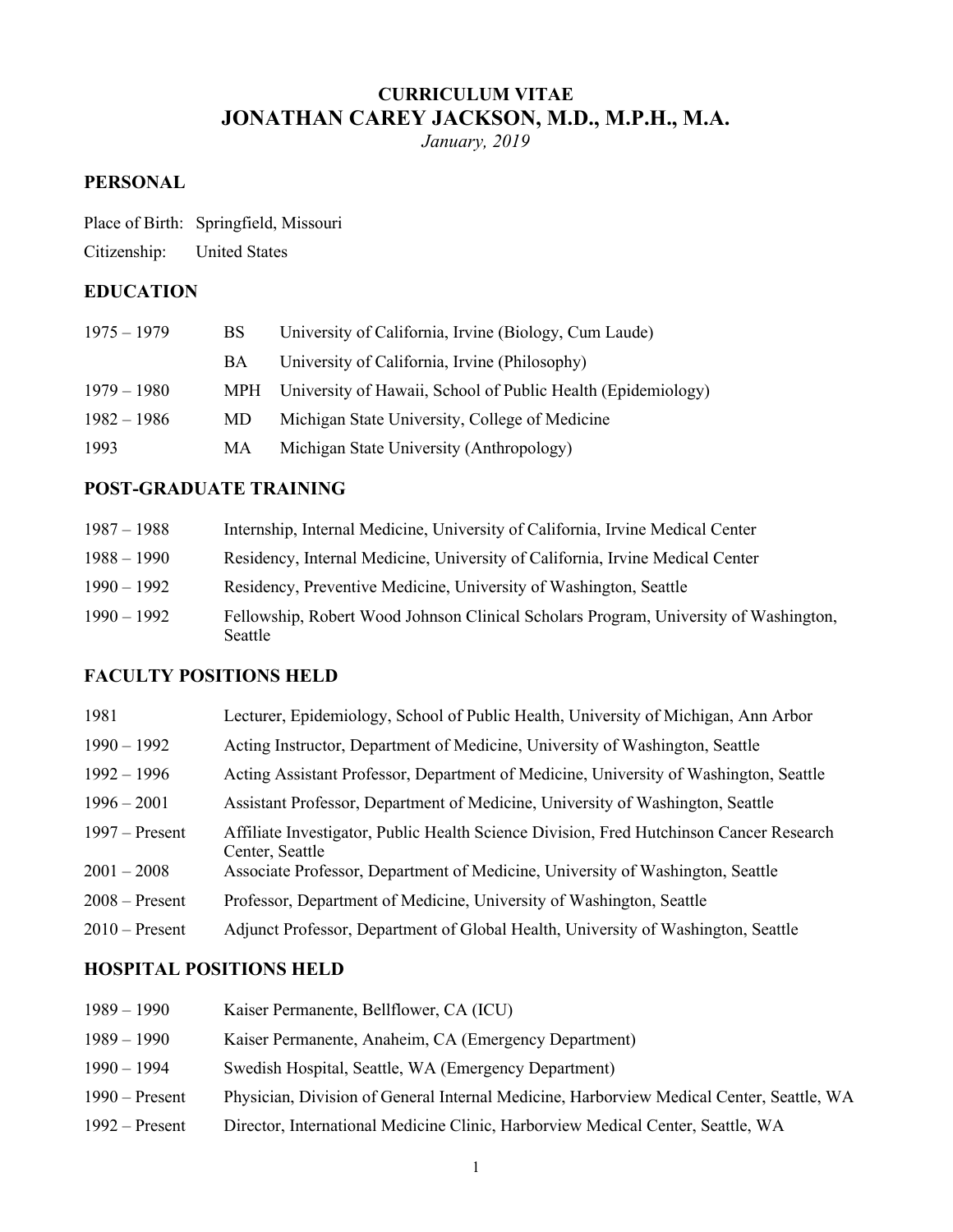# **CURRICULUM VITAE JONATHAN CAREY JACKSON, M.D., M.P.H., M.A.**

*January, 2019* 

## **PERSONAL**

|  | Place of Birth: Springfield, Missouri |
|--|---------------------------------------|
|--|---------------------------------------|

Citizenship: United States

## **EDUCATION**

| $1975 - 1979$ | BS.       | University of California, Irvine (Biology, Cum Laude)            |
|---------------|-----------|------------------------------------------------------------------|
|               | <b>BA</b> | University of California, Irvine (Philosophy)                    |
| $1979 - 1980$ |           | MPH University of Hawaii, School of Public Health (Epidemiology) |
| $1982 - 1986$ | MD.       | Michigan State University, College of Medicine                   |
| 1993          | MA        | Michigan State University (Anthropology)                         |

## **POST-GRADUATE TRAINING**

| $1987 - 1988$ | Internship, Internal Medicine, University of California, Irvine Medical Center                  |
|---------------|-------------------------------------------------------------------------------------------------|
| $1988 - 1990$ | Residency, Internal Medicine, University of California, Irvine Medical Center                   |
| $1990 - 1992$ | Residency, Preventive Medicine, University of Washington, Seattle                               |
| $1990 - 1992$ | Fellowship, Robert Wood Johnson Clinical Scholars Program, University of Washington,<br>Seattle |

## **FACULTY POSITIONS HELD**

| 1981             | Lecturer, Epidemiology, School of Public Health, University of Michigan, Ann Arbor                         |
|------------------|------------------------------------------------------------------------------------------------------------|
| $1990 - 1992$    | Acting Instructor, Department of Medicine, University of Washington, Seattle                               |
| $1992 - 1996$    | Acting Assistant Professor, Department of Medicine, University of Washington, Seattle                      |
| $1996 - 2001$    | Assistant Professor, Department of Medicine, University of Washington, Seattle                             |
| $1997 -$ Present | Affiliate Investigator, Public Health Science Division, Fred Hutchinson Cancer Research<br>Center, Seattle |
| $2001 - 2008$    | Associate Professor, Department of Medicine, University of Washington, Seattle                             |
| $2008 -$ Present | Professor, Department of Medicine, University of Washington, Seattle                                       |
| $2010$ – Present | Adjunct Professor, Department of Global Health, University of Washington, Seattle                          |

# **HOSPITAL POSITIONS HELD**

| $1989 - 1990$    | Kaiser Permanente, Bellflower, CA (ICU)                                                  |
|------------------|------------------------------------------------------------------------------------------|
| $1989 - 1990$    | Kaiser Permanente, Anaheim, CA (Emergency Department)                                    |
| $1990 - 1994$    | Swedish Hospital, Seattle, WA (Emergency Department)                                     |
| $1990$ – Present | Physician, Division of General Internal Medicine, Harborview Medical Center, Seattle, WA |
| $1992 -$ Present | Director, International Medicine Clinic, Harborview Medical Center, Seattle, WA          |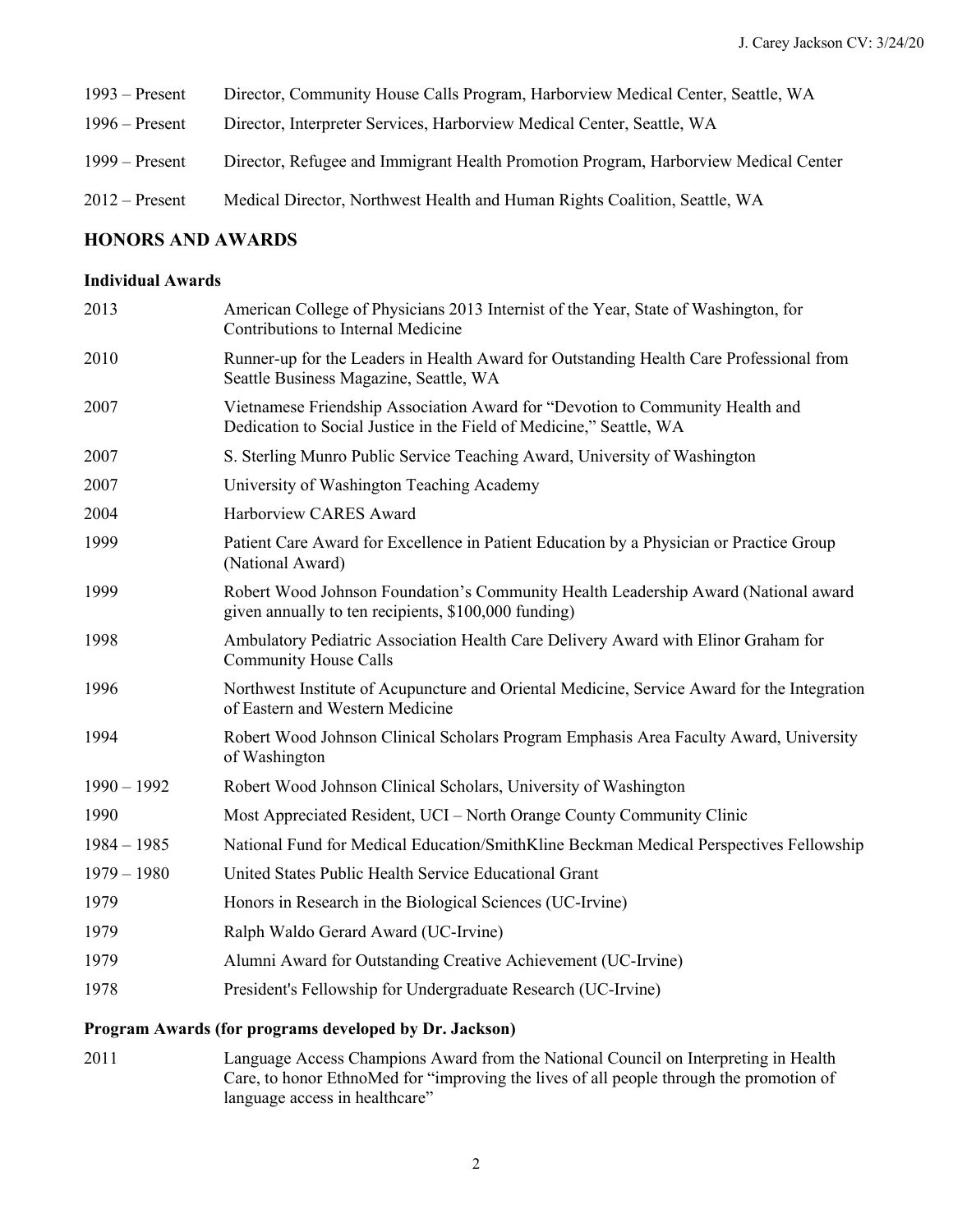| $1993 -$ Present | Director, Community House Calls Program, Harborview Medical Center, Seattle, WA     |
|------------------|-------------------------------------------------------------------------------------|
| $1996 -$ Present | Director, Interpreter Services, Harborview Medical Center, Seattle, WA              |
| $1999 -$ Present | Director, Refugee and Immigrant Health Promotion Program, Harborview Medical Center |
| $2012$ – Present | Medical Director, Northwest Health and Human Rights Coalition, Seattle, WA          |

#### **HONORS AND AWARDS**

### **Individual Awards**

| 2013          | American College of Physicians 2013 Internist of the Year, State of Washington, for<br>Contributions to Internal Medicine                            |
|---------------|------------------------------------------------------------------------------------------------------------------------------------------------------|
| 2010          | Runner-up for the Leaders in Health Award for Outstanding Health Care Professional from<br>Seattle Business Magazine, Seattle, WA                    |
| 2007          | Vietnamese Friendship Association Award for "Devotion to Community Health and<br>Dedication to Social Justice in the Field of Medicine," Seattle, WA |
| 2007          | S. Sterling Munro Public Service Teaching Award, University of Washington                                                                            |
| 2007          | University of Washington Teaching Academy                                                                                                            |
| 2004          | Harborview CARES Award                                                                                                                               |
| 1999          | Patient Care Award for Excellence in Patient Education by a Physician or Practice Group<br>(National Award)                                          |
| 1999          | Robert Wood Johnson Foundation's Community Health Leadership Award (National award<br>given annually to ten recipients, \$100,000 funding)           |
| 1998          | Ambulatory Pediatric Association Health Care Delivery Award with Elinor Graham for<br><b>Community House Calls</b>                                   |
| 1996          | Northwest Institute of Acupuncture and Oriental Medicine, Service Award for the Integration<br>of Eastern and Western Medicine                       |
| 1994          | Robert Wood Johnson Clinical Scholars Program Emphasis Area Faculty Award, University<br>of Washington                                               |
| $1990 - 1992$ | Robert Wood Johnson Clinical Scholars, University of Washington                                                                                      |
| 1990          | Most Appreciated Resident, UCI – North Orange County Community Clinic                                                                                |
| $1984 - 1985$ | National Fund for Medical Education/SmithKline Beckman Medical Perspectives Fellowship                                                               |
| $1979 - 1980$ | United States Public Health Service Educational Grant                                                                                                |
| 1979          | Honors in Research in the Biological Sciences (UC-Irvine)                                                                                            |
| 1979          | Ralph Waldo Gerard Award (UC-Irvine)                                                                                                                 |
| 1979          | Alumni Award for Outstanding Creative Achievement (UC-Irvine)                                                                                        |
| 1978          | President's Fellowship for Undergraduate Research (UC-Irvine)                                                                                        |
|               | Program Awards (for programs developed by Dr. Jackson)                                                                                               |

 2011 Language Access Champions Award from the National Council on Interpreting in Health Care, to honor EthnoMed for "improving the lives of all people through the promotion of language access in healthcare"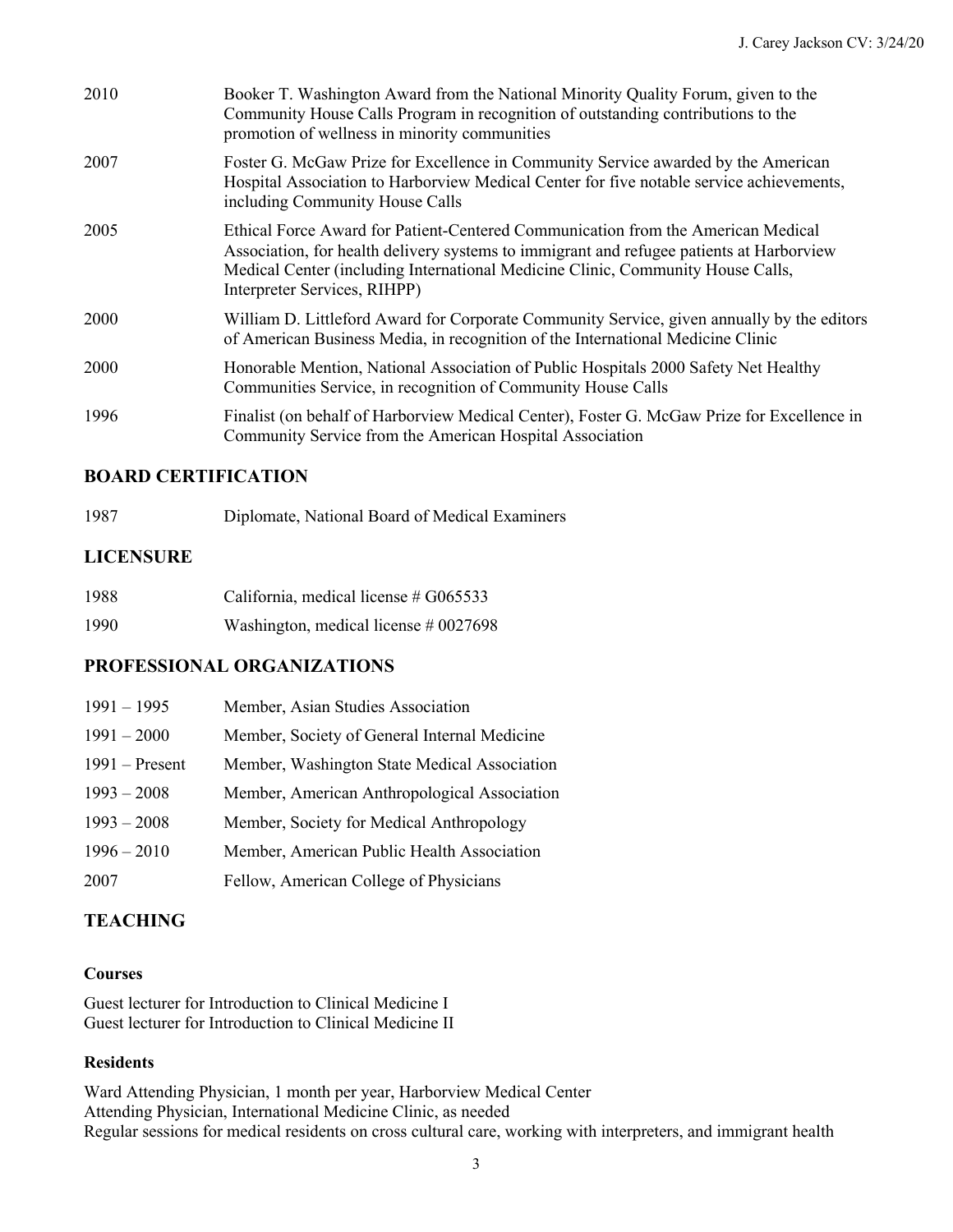| 2010 | Booker T. Washington Award from the National Minority Quality Forum, given to the<br>Community House Calls Program in recognition of outstanding contributions to the<br>promotion of wellness in minority communities                                                                          |
|------|-------------------------------------------------------------------------------------------------------------------------------------------------------------------------------------------------------------------------------------------------------------------------------------------------|
| 2007 | Foster G. McGaw Prize for Excellence in Community Service awarded by the American<br>Hospital Association to Harborview Medical Center for five notable service achievements,<br>including Community House Calls                                                                                |
| 2005 | Ethical Force Award for Patient-Centered Communication from the American Medical<br>Association, for health delivery systems to immigrant and refugee patients at Harborview<br>Medical Center (including International Medicine Clinic, Community House Calls,<br>Interpreter Services, RIHPP) |
| 2000 | William D. Littleford Award for Corporate Community Service, given annually by the editors<br>of American Business Media, in recognition of the International Medicine Clinic                                                                                                                   |
| 2000 | Honorable Mention, National Association of Public Hospitals 2000 Safety Net Healthy<br>Communities Service, in recognition of Community House Calls                                                                                                                                             |
| 1996 | Finalist (on behalf of Harborview Medical Center), Foster G. McGaw Prize for Excellence in<br>Community Service from the American Hospital Association                                                                                                                                          |

## **BOARD CERTIFICATION**

| 1987 | Diplomate, National Board of Medical Examiners |
|------|------------------------------------------------|
|------|------------------------------------------------|

## **LICENSURE**

| 1988 | California, medical license # G065533   |
|------|-----------------------------------------|
| 1990 | Washington, medical license $\#0027698$ |

## **PROFESSIONAL ORGANIZATIONS**

| $1991 - 1995$    | Member, Asian Studies Association            |
|------------------|----------------------------------------------|
| $1991 - 2000$    | Member, Society of General Internal Medicine |
| $1991 -$ Present | Member, Washington State Medical Association |
| $1993 - 2008$    | Member, American Anthropological Association |
| $1993 - 2008$    | Member, Society for Medical Anthropology     |
| $1996 - 2010$    | Member, American Public Health Association   |
| 2007             | Fellow, American College of Physicians       |

## **TEACHING**

#### **Courses**

 Guest lecturer for Introduction to Clinical Medicine I Guest lecturer for Introduction to Clinical Medicine II

## **Residents**

 Ward Attending Physician, 1 month per year, Harborview Medical Center Attending Physician, International Medicine Clinic, as needed Regular sessions for medical residents on cross cultural care, working with interpreters, and immigrant health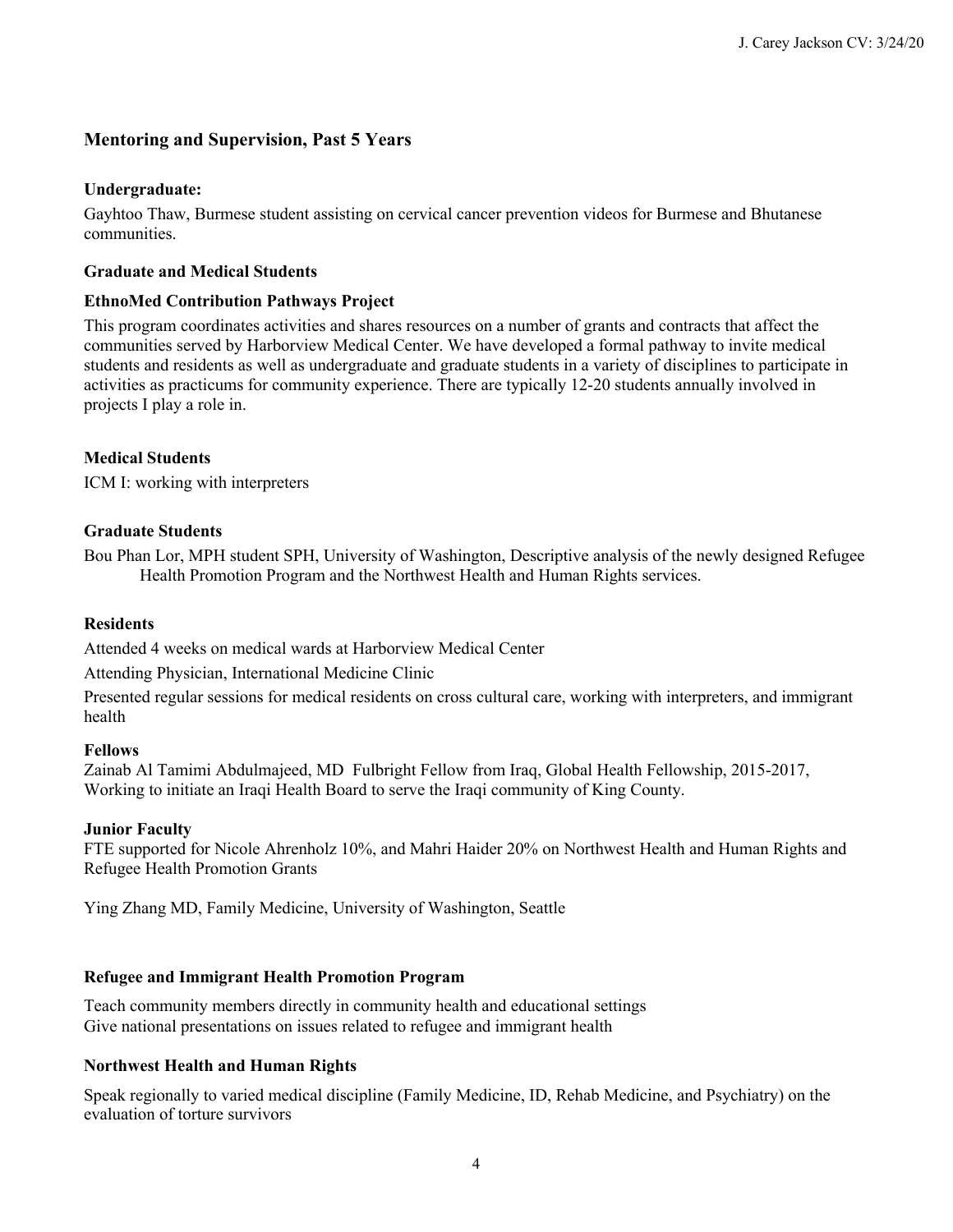## **Mentoring and Supervision, Past 5 Years**

#### **Undergraduate:**

 Gayhtoo Thaw, Burmese student assisting on cervical cancer prevention videos for Burmese and Bhutanese communities.

#### **Graduate and Medical Students**

#### **EthnoMed Contribution Pathways Project**

 This program coordinates activities and shares resources on a number of grants and contracts that affect the communities served by Harborview Medical Center. We have developed a formal pathway to invite medical activities as practicums for community experience. There are typically 12-20 students annually involved in projects I play a role in. students and residents as well as undergraduate and graduate students in a variety of disciplines to participate in

### **Medical Students**

ICM I: working with interpreters

### **Graduate Students**

 Bou Phan Lor, MPH student SPH, University of Washington, Descriptive analysis of the newly designed Refugee Health Promotion Program and the Northwest Health and Human Rights services.

#### **Residents**

Attended 4 weeks on medical wards at Harborview Medical Center

Attending Physician, International Medicine Clinic

 Presented regular sessions for medical residents on cross cultural care, working with interpreters, and immigrant health

#### **Fellows**

 Zainab Al Tamimi Abdulmajeed, MD Fulbright Fellow from Iraq, Global Health Fellowship, 2015-2017, Working to initiate an Iraqi Health Board to serve the Iraqi community of King County.

#### **Junior Faculty**

 FTE supported for Nicole Ahrenholz 10%, and Mahri Haider 20% on Northwest Health and Human Rights and Refugee Health Promotion Grants

Ying Zhang MD, Family Medicine, University of Washington, Seattle

### **Refugee and Immigrant Health Promotion Program**

 Teach community members directly in community health and educational settings Give national presentations on issues related to refugee and immigrant health

### **Northwest Health and Human Rights**

 Speak regionally to varied medical discipline (Family Medicine, ID, Rehab Medicine, and Psychiatry) on the evaluation of torture survivors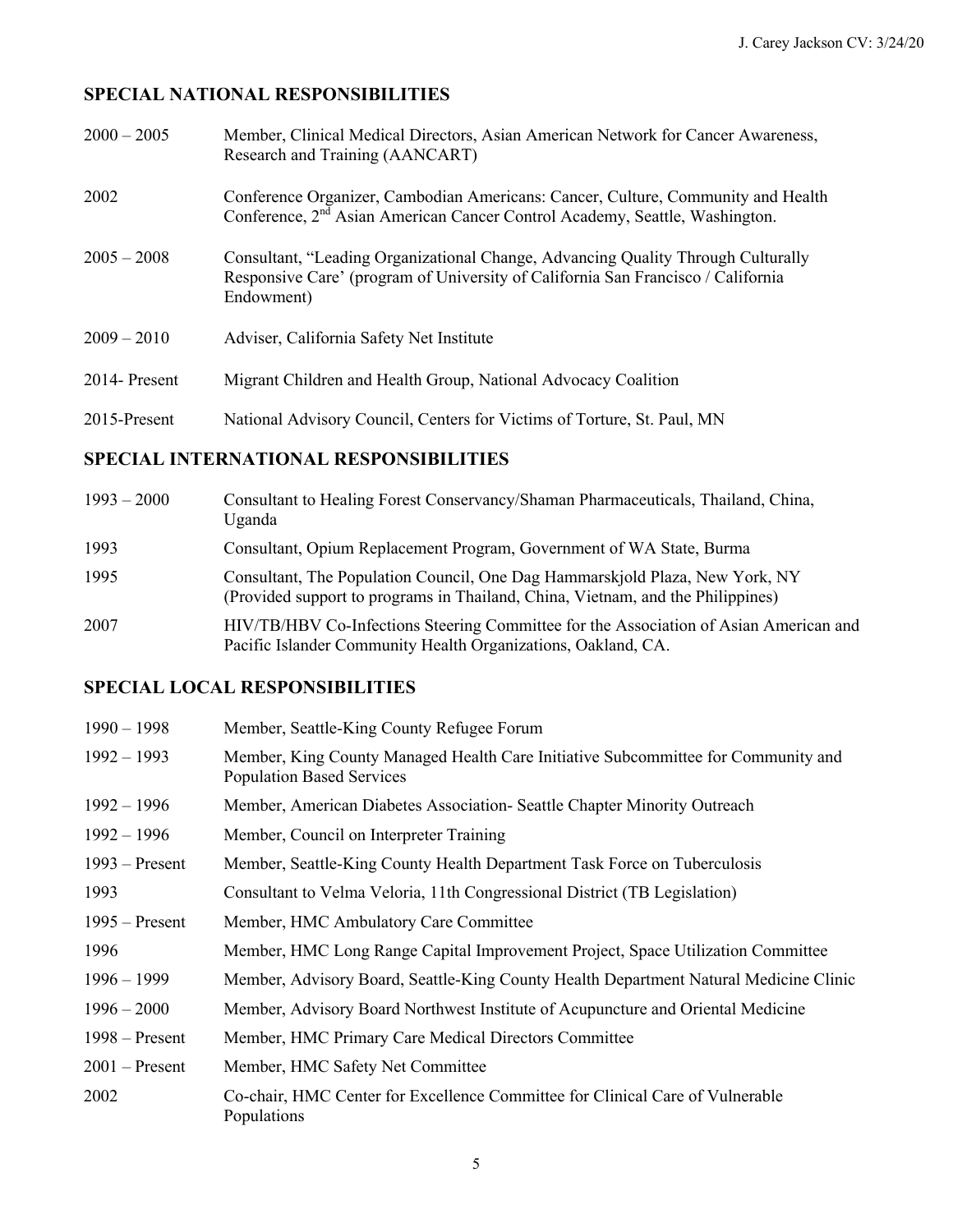# **SPECIAL NATIONAL RESPONSIBILITIES**

| $2000 - 2005$ | Member, Clinical Medical Directors, Asian American Network for Cancer Awareness,<br>Research and Training (AANCART)                                                                |
|---------------|------------------------------------------------------------------------------------------------------------------------------------------------------------------------------------|
| 2002          | Conference Organizer, Cambodian Americans: Cancer, Culture, Community and Health<br>Conference, 2 <sup>nd</sup> Asian American Cancer Control Academy, Seattle, Washington.        |
| $2005 - 2008$ | Consultant, "Leading Organizational Change, Advancing Quality Through Culturally<br>Responsive Care' (program of University of California San Francisco / California<br>Endowment) |
| $2009 - 2010$ | Adviser, California Safety Net Institute                                                                                                                                           |
| 2014- Present | Migrant Children and Health Group, National Advocacy Coalition                                                                                                                     |
| 2015-Present  | National Advisory Council, Centers for Victims of Torture, St. Paul, MN                                                                                                            |
|               |                                                                                                                                                                                    |

# **SPECIAL INTERNATIONAL RESPONSIBILITIES**

| $1993 - 2000$ | Consultant to Healing Forest Conservancy/Shaman Pharmaceuticals, Thailand, China,<br>Uganda                                                                     |
|---------------|-----------------------------------------------------------------------------------------------------------------------------------------------------------------|
| 1993          | Consultant, Opium Replacement Program, Government of WA State, Burma                                                                                            |
| 1995          | Consultant, The Population Council, One Dag Hammarskjold Plaza, New York, NY<br>(Provided support to programs in Thailand, China, Vietnam, and the Philippines) |
| 2007          | HIV/TB/HBV Co-Infections Steering Committee for the Association of Asian American and<br>Pacific Islander Community Health Organizations, Oakland, CA.          |

# **SPECIAL LOCAL RESPONSIBILITIES**

| $1990 - 1998$    | Member, Seattle-King County Refugee Forum                                                                             |
|------------------|-----------------------------------------------------------------------------------------------------------------------|
| $1992 - 1993$    | Member, King County Managed Health Care Initiative Subcommittee for Community and<br><b>Population Based Services</b> |
| $1992 - 1996$    | Member, American Diabetes Association - Seattle Chapter Minority Outreach                                             |
| $1992 - 1996$    | Member, Council on Interpreter Training                                                                               |
| $1993 -$ Present | Member, Seattle-King County Health Department Task Force on Tuberculosis                                              |
| 1993             | Consultant to Velma Veloria, 11th Congressional District (TB Legislation)                                             |
| $1995 -$ Present | Member, HMC Ambulatory Care Committee                                                                                 |
| 1996             | Member, HMC Long Range Capital Improvement Project, Space Utilization Committee                                       |
| $1996 - 1999$    | Member, Advisory Board, Seattle-King County Health Department Natural Medicine Clinic                                 |
| $1996 - 2000$    | Member, Advisory Board Northwest Institute of Acupuncture and Oriental Medicine                                       |
| $1998 -$ Present | Member, HMC Primary Care Medical Directors Committee                                                                  |
| $2001$ – Present | Member, HMC Safety Net Committee                                                                                      |
| 2002             | Co-chair, HMC Center for Excellence Committee for Clinical Care of Vulnerable<br>Populations                          |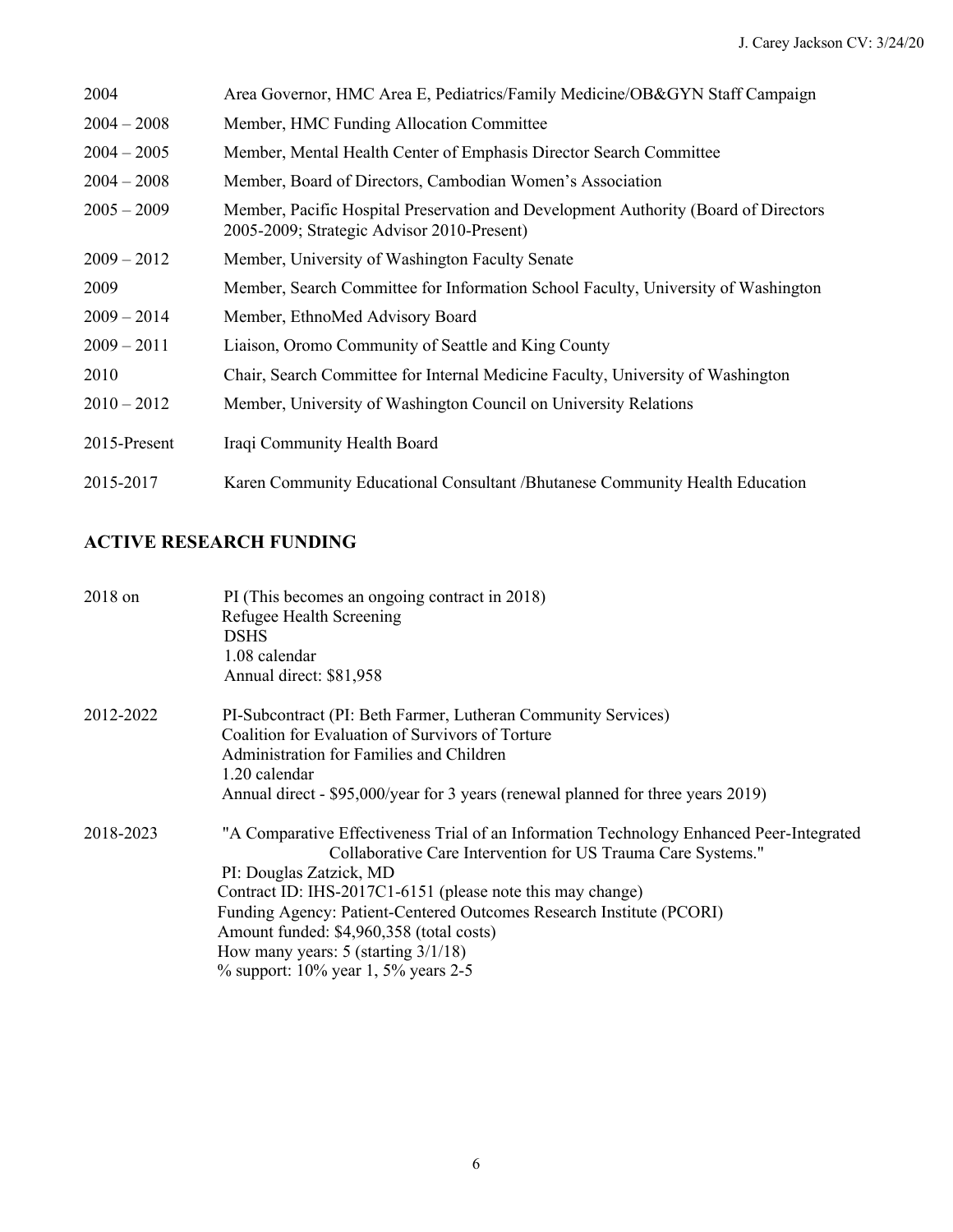| 2004          | Area Governor, HMC Area E, Pediatrics/Family Medicine/OB&GYN Staff Campaign                                                       |
|---------------|-----------------------------------------------------------------------------------------------------------------------------------|
| $2004 - 2008$ | Member, HMC Funding Allocation Committee                                                                                          |
| $2004 - 2005$ | Member, Mental Health Center of Emphasis Director Search Committee                                                                |
| $2004 - 2008$ | Member, Board of Directors, Cambodian Women's Association                                                                         |
| $2005 - 2009$ | Member, Pacific Hospital Preservation and Development Authority (Board of Directors<br>2005-2009; Strategic Advisor 2010-Present) |
| $2009 - 2012$ | Member, University of Washington Faculty Senate                                                                                   |
| 2009          | Member, Search Committee for Information School Faculty, University of Washington                                                 |
| $2009 - 2014$ | Member, EthnoMed Advisory Board                                                                                                   |
| $2009 - 2011$ | Liaison, Oromo Community of Seattle and King County                                                                               |
| 2010          | Chair, Search Committee for Internal Medicine Faculty, University of Washington                                                   |
| $2010 - 2012$ | Member, University of Washington Council on University Relations                                                                  |
| 2015-Present  | Iraqi Community Health Board                                                                                                      |
| 2015-2017     | Karen Community Educational Consultant /Bhutanese Community Health Education                                                      |

## **ACTIVE RESEARCH FUNDING**

| $2018$ on | PI (This becomes an ongoing contract in 2018)                                            |
|-----------|------------------------------------------------------------------------------------------|
|           | Refugee Health Screening                                                                 |
|           | <b>DSHS</b>                                                                              |
|           | 1.08 calendar                                                                            |
|           | Annual direct: \$81,958                                                                  |
| 2012-2022 | PI-Subcontract (PI: Beth Farmer, Lutheran Community Services)                            |
|           | Coalition for Evaluation of Survivors of Torture                                         |
|           | Administration for Families and Children                                                 |
|           | 1.20 calendar                                                                            |
|           | Annual direct - \$95,000/year for 3 years (renewal planned for three years 2019)         |
| 2018-2023 | "A Comparative Effectiveness Trial of an Information Technology Enhanced Peer-Integrated |
|           | Collaborative Care Intervention for US Trauma Care Systems."                             |
|           | PI: Douglas Zatzick, MD                                                                  |
|           | Contract ID: IHS-2017C1-6151 (please note this may change)                               |
|           | Funding Agency: Patient-Centered Outcomes Research Institute (PCORI)                     |
|           | Amount funded: \$4,960,358 (total costs)                                                 |
|           | How many years: $5$ (starting $3/1/18$ )                                                 |
|           | % support: $10\%$ year 1, 5% years 2-5                                                   |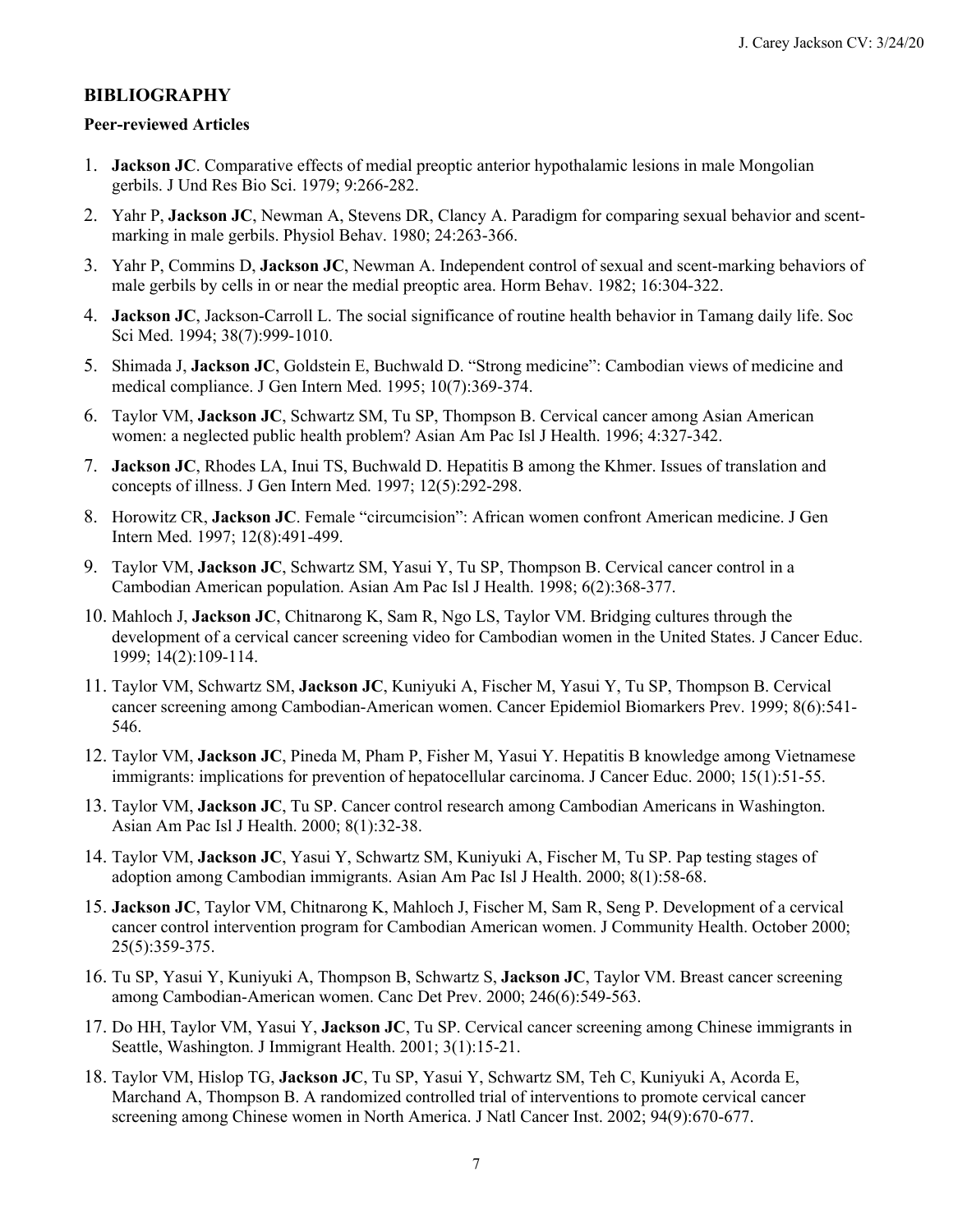### **BIBLIOGRAPHY**

#### **Peer-reviewed Articles**

- 1. **Jackson JC**. Comparative effects of medial preoptic anterior hypothalamic lesions in male Mongolian gerbils. J Und Res Bio Sci. 1979; 9:266-282.
- 2. Yahr P, **Jackson JC**, Newman A, Stevens DR, Clancy A. Paradigm for comparing sexual behavior and scent-marking in male gerbils. Physiol Behav. 1980; 24:263-366.
- 3. Yahr P, Commins D, **Jackson JC**, Newman A. Independent control of sexual and scent-marking behaviors of male gerbils by cells in or near the medial preoptic area. Horm Behav. 1982; 16:304-322.
- 4. **Jackson JC**, Jackson-Carroll L. The social significance of routine health behavior in Tamang daily life. Soc Sci Med. 1994; 38(7):999-1010.
- 5. Shimada J, **Jackson JC**, Goldstein E, Buchwald D. "Strong medicine": Cambodian views of medicine and medical compliance. J Gen Intern Med. 1995; 10(7):369-374.
- 6. Taylor VM, **Jackson JC**, Schwartz SM, Tu SP, Thompson B. Cervical cancer among Asian American women: a neglected public health problem? Asian Am Pac Isl J Health. 1996; 4:327-342.
- 7. **Jackson JC**, Rhodes LA, Inui TS, Buchwald D. Hepatitis B among the Khmer. Issues of translation and concepts of illness. J Gen Intern Med. 1997; 12(5):292-298.
- 8. Horowitz CR, **Jackson JC**. Female "circumcision": African women confront American medicine. J Gen Intern Med. 1997; 12(8):491-499.
- 9. Taylor VM, **Jackson JC**, Schwartz SM, Yasui Y, Tu SP, Thompson B. Cervical cancer control in a Cambodian American population. Asian Am Pac Isl J Health. 1998; 6(2):368-377.
- 10. Mahloch J, **Jackson JC**, Chitnarong K, Sam R, Ngo LS, Taylor VM. Bridging cultures through the development of a cervical cancer screening video for Cambodian women in the United States. J Cancer Educ. 1999; 14(2):109-114.
- 11. Taylor VM, Schwartz SM, **Jackson JC**, Kuniyuki A, Fischer M, Yasui Y, Tu SP, Thompson B. Cervical cancer screening among Cambodian-American women. Cancer Epidemiol Biomarkers Prev. 1999; 8(6):541- 546.
- 12. Taylor VM, **Jackson JC**, Pineda M, Pham P, Fisher M, Yasui Y. Hepatitis B knowledge among Vietnamese immigrants: implications for prevention of hepatocellular carcinoma. J Cancer Educ. 2000; 15(1):51-55.
- 13. Taylor VM, **Jackson JC**, Tu SP. Cancer control research among Cambodian Americans in Washington. Asian Am Pac Isl J Health. 2000; 8(1):32-38.
- 14. Taylor VM, **Jackson JC**, Yasui Y, Schwartz SM, Kuniyuki A, Fischer M, Tu SP. Pap testing stages of adoption among Cambodian immigrants. Asian Am Pac Isl J Health. 2000; 8(1):58-68.
- 15. **Jackson JC**, Taylor VM, Chitnarong K, Mahloch J, Fischer M, Sam R, Seng P. Development of a cervical cancer control intervention program for Cambodian American women. J Community Health. October 2000; 25(5):359-375.
- 16. Tu SP, Yasui Y, Kuniyuki A, Thompson B, Schwartz S, **Jackson JC**, Taylor VM. Breast cancer screening among Cambodian-American women. Canc Det Prev. 2000; 246(6):549-563.
- 17. Do HH, Taylor VM, Yasui Y, **Jackson JC**, Tu SP. Cervical cancer screening among Chinese immigrants in Seattle, Washington. J Immigrant Health. 2001; 3(1):15-21.
- 18. Taylor VM, Hislop TG, **Jackson JC**, Tu SP, Yasui Y, Schwartz SM, Teh C, Kuniyuki A, Acorda E, Marchand A, Thompson B. A randomized controlled trial of interventions to promote cervical cancer screening among Chinese women in North America. J Natl Cancer Inst. 2002; 94(9):670-677.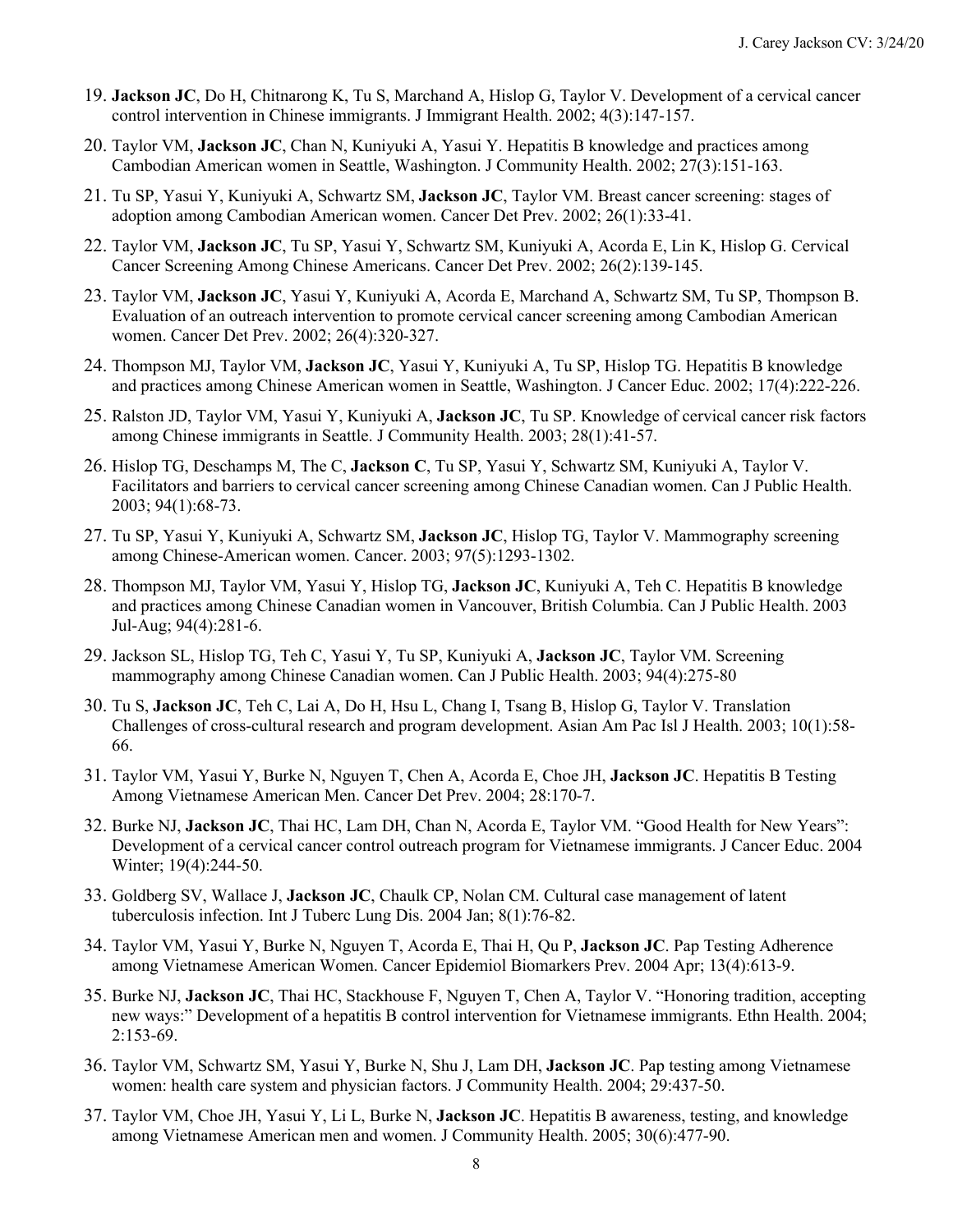- 19. **Jackson JC**, Do H, Chitnarong K, Tu S, Marchand A, Hislop G, Taylor V. Development of a cervical cancer control intervention in Chinese immigrants. J Immigrant Health. 2002; 4(3):147-157.
- 20. Taylor VM, **Jackson JC**, Chan N, Kuniyuki A, Yasui Y. Hepatitis B knowledge and practices among Cambodian American women in Seattle, Washington. J Community Health. 2002; 27(3):151-163.
- 21. Tu SP, Yasui Y, Kuniyuki A, Schwartz SM, **Jackson JC**, Taylor VM. Breast cancer screening: stages of adoption among Cambodian American women. Cancer Det Prev. 2002; 26(1):33-41.
- Cancer Screening Among Chinese Americans. Cancer Det Prev. 2002; 26(2):139-145. 22. Taylor VM, **Jackson JC**, Tu SP, Yasui Y, Schwartz SM, Kuniyuki A, Acorda E, Lin K, Hislop G. Cervical
- 23. Taylor VM, **Jackson JC**, Yasui Y, Kuniyuki A, Acorda E, Marchand A, Schwartz SM, Tu SP, Thompson B. Evaluation of an outreach intervention to promote cervical cancer screening among Cambodian American women. Cancer Det Prev. 2002; 26(4):320-327.
- 24. Thompson MJ, Taylor VM, **Jackson JC**, Yasui Y, Kuniyuki A, Tu SP, Hislop TG. Hepatitis B knowledge and practices among Chinese American women in Seattle, Washington. J Cancer Educ. 2002; 17(4):222-226.
- 25. Ralston JD, Taylor VM, Yasui Y, Kuniyuki A, **Jackson JC**, Tu SP. Knowledge of cervical cancer risk factors among Chinese immigrants in Seattle. J Community Health. 2003; 28(1):41-57.
- 26. Hislop TG, Deschamps M, The C, **Jackson C**, Tu SP, Yasui Y, Schwartz SM, Kuniyuki A, Taylor V. Facilitators and barriers to cervical cancer screening among Chinese Canadian women. Can J Public Health. 2003; 94(1):68-73.
- 27. Tu SP, Yasui Y, Kuniyuki A, Schwartz SM, **Jackson JC**, Hislop TG, Taylor V. Mammography screening among Chinese-American women. Cancer. 2003; 97(5):1293-1302.
- 28. Thompson MJ, Taylor VM, Yasui Y, Hislop TG, **Jackson JC**, Kuniyuki A, Teh C. Hepatitis B knowledge and practices among Chinese Canadian women in Vancouver, British Columbia. Can J Public Health. 2003 Jul-Aug; 94(4):281-6.
- mammography among Chinese Canadian women. Can J Public Health. 2003; 94(4):275-80 29. Jackson SL, Hislop TG, Teh C, Yasui Y, Tu SP, Kuniyuki A, **Jackson JC**, Taylor VM. Screening
- 30. Tu S, **Jackson JC**, Teh C, Lai A, Do H, Hsu L, Chang I, Tsang B, Hislop G, Taylor V. Translation Challenges of cross-cultural research and program development. Asian Am Pac Isl J Health. 2003; 10(1):58- 66.
- 31. Taylor VM, Yasui Y, Burke N, Nguyen T, Chen A, Acorda E, Choe JH, **Jackson JC**. Hepatitis B Testing Among Vietnamese American Men. Cancer Det Prev. 2004; 28:170-7.
- 32. Burke NJ, **Jackson JC**, Thai HC, Lam DH, Chan N, Acorda E, Taylor VM. "Good Health for New Years": Development of a cervical cancer control outreach program for Vietnamese immigrants. J Cancer Educ. 2004 Winter; 19(4):244-50.
- 33. Goldberg SV, Wallace J, **Jackson JC**, Chaulk CP, Nolan CM. Cultural case management of latent tuberculosis infection. Int J Tuberc Lung Dis. 2004 Jan; 8(1):76-82.
- 34. Taylor VM, Yasui Y, Burke N, Nguyen T, Acorda E, Thai H, Qu P, **Jackson JC**. Pap Testing Adherence among Vietnamese American Women. Cancer Epidemiol Biomarkers Prev. 2004 Apr; 13(4):613-9.
- 35. Burke NJ, **Jackson JC**, Thai HC, Stackhouse F, Nguyen T, Chen A, Taylor V. "Honoring tradition, accepting new ways:" Development of a hepatitis B control intervention for Vietnamese immigrants. Ethn Health. 2004; 2:153-69.
- 36. Taylor VM, Schwartz SM, Yasui Y, Burke N, Shu J, Lam DH, **Jackson JC**. Pap testing among Vietnamese women: health care system and physician factors. J Community Health. 2004; 29:437-50.
- 37. Taylor VM, Choe JH, Yasui Y, Li L, Burke N, **Jackson JC**. Hepatitis B awareness, testing, and knowledge among Vietnamese American men and women. J Community Health. 2005; 30(6):477-90.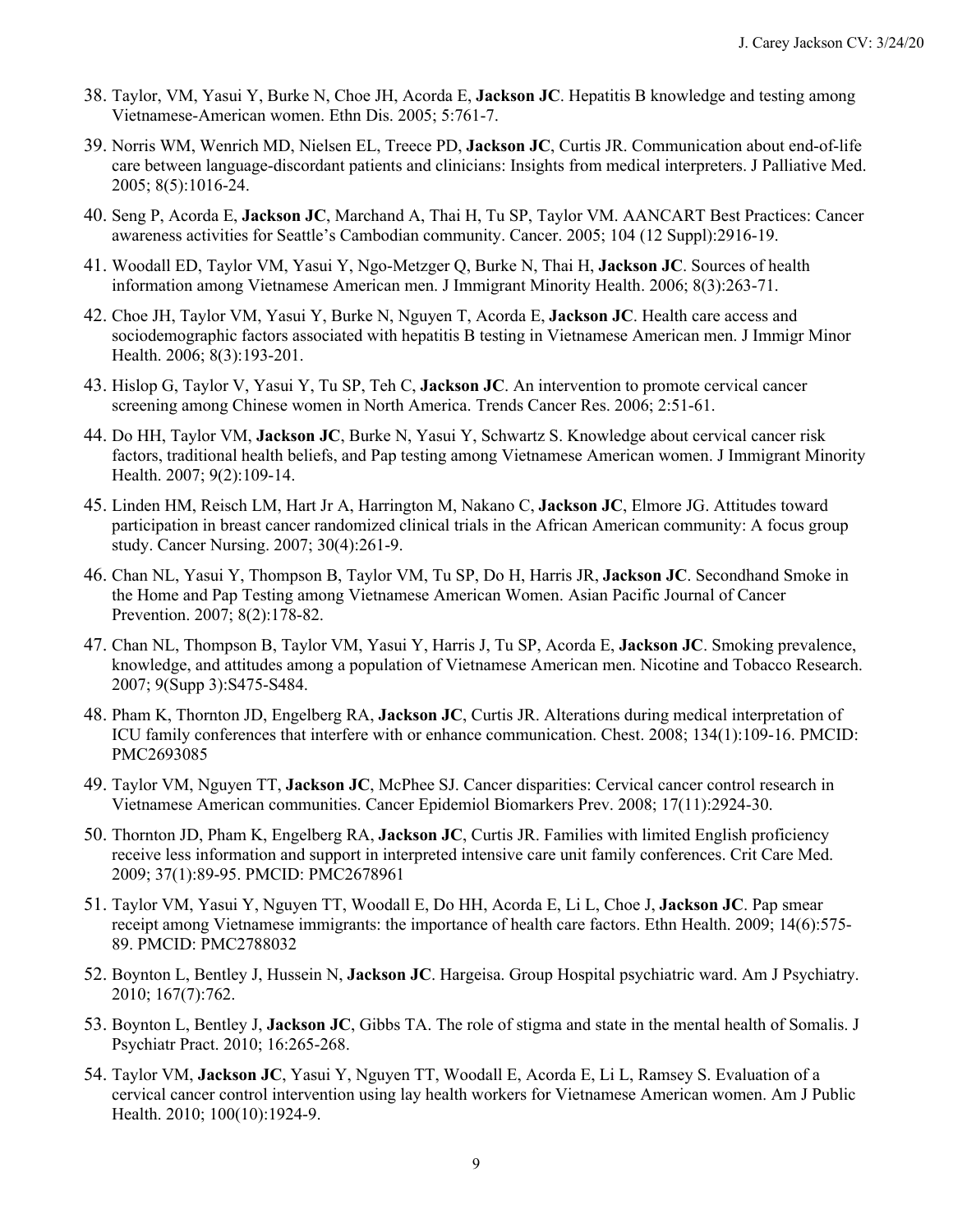- 38. Taylor, VM, Yasui Y, Burke N, Choe JH, Acorda E, **Jackson JC**. Hepatitis B knowledge and testing among Vietnamese-American women. Ethn Dis. 2005; 5:761-7.
- 39. Norris WM, Wenrich MD, Nielsen EL, Treece PD, **Jackson JC**, Curtis JR. Communication about end-of-life care between language-discordant patients and clinicians: Insights from medical interpreters. J Palliative Med. 2005; 8(5):1016-24.
- 40. Seng P, Acorda E, **Jackson JC**, Marchand A, Thai H, Tu SP, Taylor VM. AANCART Best Practices: Cancer awareness activities for Seattle's Cambodian community. Cancer. 2005; 104 (12 Suppl):2916-19.
- 41. Woodall ED, Taylor VM, Yasui Y, Ngo-Metzger Q, Burke N, Thai H, **Jackson JC**. Sources of health information among Vietnamese American men. J Immigrant Minority Health. 2006; 8(3):263-71.
- 42. Choe JH, Taylor VM, Yasui Y, Burke N, Nguyen T, Acorda E, **Jackson JC**. Health care access and sociodemographic factors associated with hepatitis B testing in Vietnamese American men. J Immigr Minor Health. 2006; 8(3):193-201.
- 43. Hislop G, Taylor V, Yasui Y, Tu SP, Teh C, **Jackson JC**. An intervention to promote cervical cancer screening among Chinese women in North America. Trends Cancer Res. 2006; 2:51-61.
- 44. Do HH, Taylor VM, **Jackson JC**, Burke N, Yasui Y, Schwartz S. Knowledge about cervical cancer risk factors, traditional health beliefs, and Pap testing among Vietnamese American women. J Immigrant Minority Health. 2007; 9(2):109-14.
- 45. Linden HM, Reisch LM, Hart Jr A, Harrington M, Nakano C, **Jackson JC**, Elmore JG. Attitudes toward participation in breast cancer randomized clinical trials in the African American community: A focus group study. Cancer Nursing. 2007; 30(4):261-9.
- 46. Chan NL, Yasui Y, Thompson B, Taylor VM, Tu SP, Do H, Harris JR, **Jackson JC**. Secondhand Smoke in the Home and Pap Testing among Vietnamese American Women. Asian Pacific Journal of Cancer Prevention. 2007; 8(2):178-82.
- 47. Chan NL, Thompson B, Taylor VM, Yasui Y, Harris J, Tu SP, Acorda E, **Jackson JC**. Smoking prevalence, knowledge, and attitudes among a population of Vietnamese American men. Nicotine and Tobacco Research. 2007; 9(Supp 3):S475-S484.
- 48. Pham K, Thornton JD, Engelberg RA, **Jackson JC**, Curtis JR. Alterations during medical interpretation of ICU family conferences that interfere with or enhance communication. Chest. 2008; 134(1):109-16. PMCID: PMC2693085
- 49. Taylor VM, Nguyen TT, **Jackson JC**, McPhee SJ. Cancer disparities: Cervical cancer control research in Vietnamese American communities. Cancer Epidemiol Biomarkers Prev. 2008; 17(11):2924-30.
- 50. Thornton JD, Pham K, Engelberg RA, **Jackson JC**, Curtis JR. Families with limited English proficiency receive less information and support in interpreted intensive care unit family conferences. Crit Care Med. 2009; 37(1):89-95. PMCID: PMC2678961
- 51. Taylor VM, Yasui Y, Nguyen TT, Woodall E, Do HH, Acorda E, Li L, Choe J, **Jackson JC**. Pap smear receipt among Vietnamese immigrants: the importance of health care factors. Ethn Health. 2009; 14(6):575- 89. PMCID: PMC2788032
- 52. Boynton L, Bentley J, Hussein N, **Jackson JC**. Hargeisa. Group Hospital psychiatric ward. Am J Psychiatry. 2010; 167(7):762.
- 53. Boynton L, Bentley J, **Jackson JC**, Gibbs TA. The role of stigma and state in the mental health of Somalis. J Psychiatr Pract. 2010; 16:265-268.
- 54. Taylor VM, **Jackson JC**, Yasui Y, Nguyen TT, Woodall E, Acorda E, Li L, Ramsey S. Evaluation of a cervical cancer control intervention using lay health workers for Vietnamese American women. Am J Public Health. 2010; 100(10):1924-9.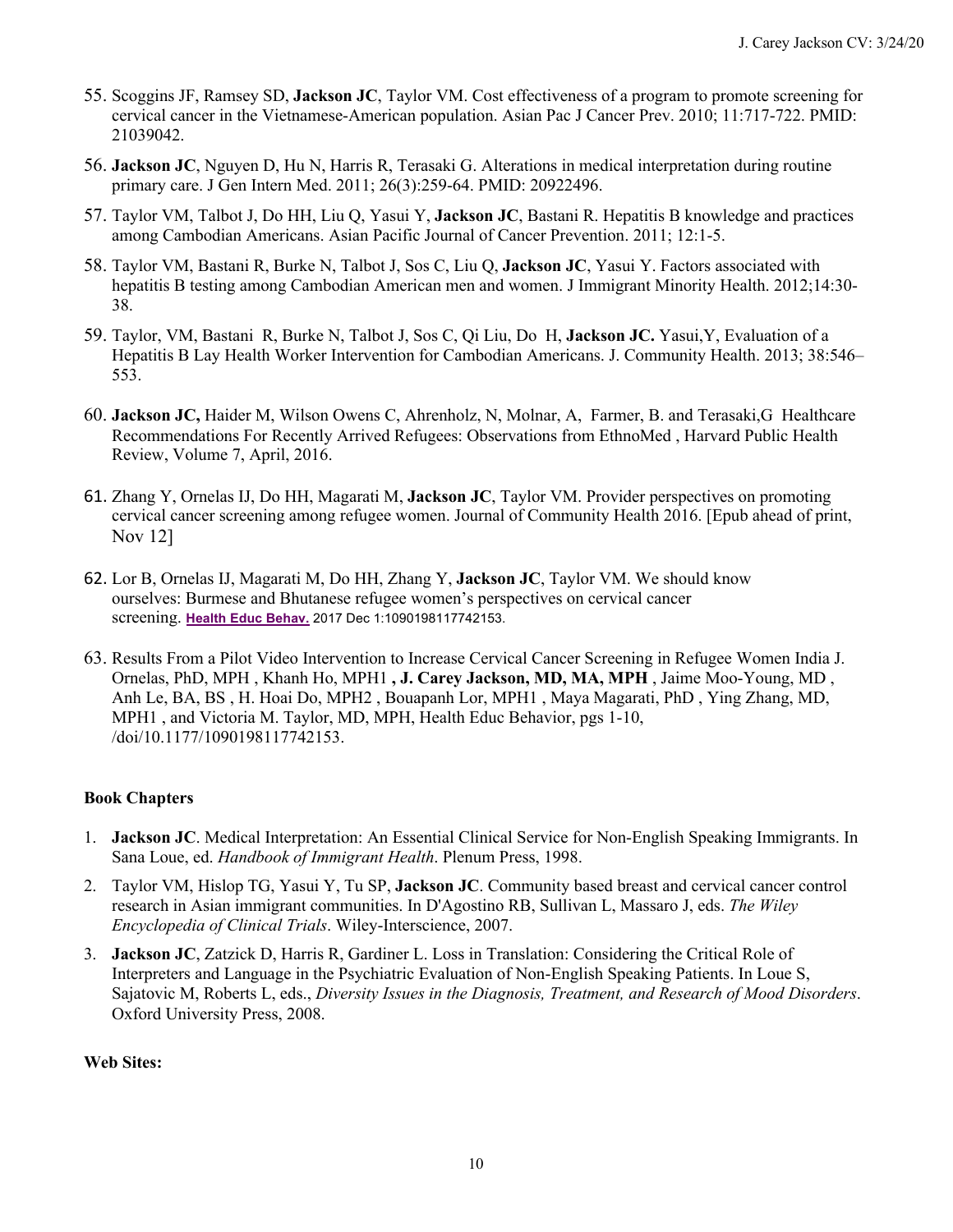- 55. Scoggins JF, Ramsey SD, **Jackson JC**, Taylor VM. Cost effectiveness of a program to promote screening for cervical cancer in the Vietnamese-American population. Asian Pac J Cancer Prev. 2010; 11:717-722. PMID: 21039042.
- 56. **Jackson JC**, Nguyen D, Hu N, Harris R, Terasaki G. Alterations in medical interpretation during routine primary care. J Gen Intern Med. 2011; 26(3):259-64. PMID: 20922496.
- 57. Taylor VM, Talbot J, Do HH, Liu Q, Yasui Y, **Jackson JC**, Bastani R. Hepatitis B knowledge and practices among Cambodian Americans. Asian Pacific Journal of Cancer Prevention. 2011; 12:1-5.
- 58. Taylor VM, Bastani R, Burke N, Talbot J, Sos C, Liu Q, **Jackson JC**, Yasui Y. Factors associated with hepatitis B testing among Cambodian American men and women. J Immigrant Minority Health. 2012;14:30- 38.
- 59. Taylor, VM, Bastani R, Burke N, Talbot J, Sos C, Qi Liu, Do H, **Jackson JC.** Yasui,Y, Evaluation of a Hepatitis B Lay Health Worker Intervention for Cambodian Americans. J. Community Health. 2013; 38:546– 553.
- 60. **Jackson JC,** Haider M, Wilson Owens C, Ahrenholz, N, Molnar, A, Farmer, B. and Terasaki,G Healthcare Recommendations For Recently Arrived Refugees: Observations from EthnoMed , Harvard Public Health Review, Volume 7, April, 2016.
- 61. Zhang Y, Ornelas IJ, Do HH, Magarati M, **Jackson JC**, Taylor VM. Provider perspectives on promoting cervical cancer screening among refugee women. Journal of Community Health 2016. [Epub ahead of print, Nov 12]
- 62. Lor B, Ornelas IJ, Magarati M, Do HH, Zhang Y, **Jackson JC**, Taylor VM. We should know ourselves: Burmese and Bhutanese refugee women's perspectives on cervical cancer  screening. **Health Educ Behav.** 2017 Dec 1:1090198117742153.
- 63. Results From a Pilot Video Intervention to Increase Cervical Cancer Screening in Refugee Women India J. Ornelas, PhD, MPH , Khanh Ho, MPH1 **, J. Carey Jackson, MD, MA, MPH** , Jaime Moo-Young, MD , Anh Le, BA, BS , H. Hoai Do, MPH2 , Bouapanh Lor, MPH1 , Maya Magarati, PhD , Ying Zhang, MD, MPH1 , and Victoria M. Taylor, MD, MPH, Health Educ Behavior, pgs 1-10, /doi/10.1177/1090198117742153.

#### **Book Chapters**

- 1. **Jackson JC**. Medical Interpretation: An Essential Clinical Service for Non-English Speaking Immigrants. In  Sana Loue, ed. *Handbook of Immigrant Health*. Plenum Press, 1998.
- 2. Taylor VM, Hislop TG, Yasui Y, Tu SP, **Jackson JC**. Community based breast and cervical cancer control research in Asian immigrant communities. In D'Agostino RB, Sullivan L, Massaro J, eds. *The Wiley Encyclopedia of Clinical Trials*. Wiley-Interscience, 2007.
- 3. **Jackson JC**, Zatzick D, Harris R, Gardiner L. Loss in Translation: Considering the Critical Role of Interpreters and Language in the Psychiatric Evaluation of Non-English Speaking Patients. In Loue S, Sajatovic M, Roberts L, eds., *Diversity Issues in the Diagnosis, Treatment, and Research of Mood Disorders*. Oxford University Press, 2008.

#### **Web Sites:**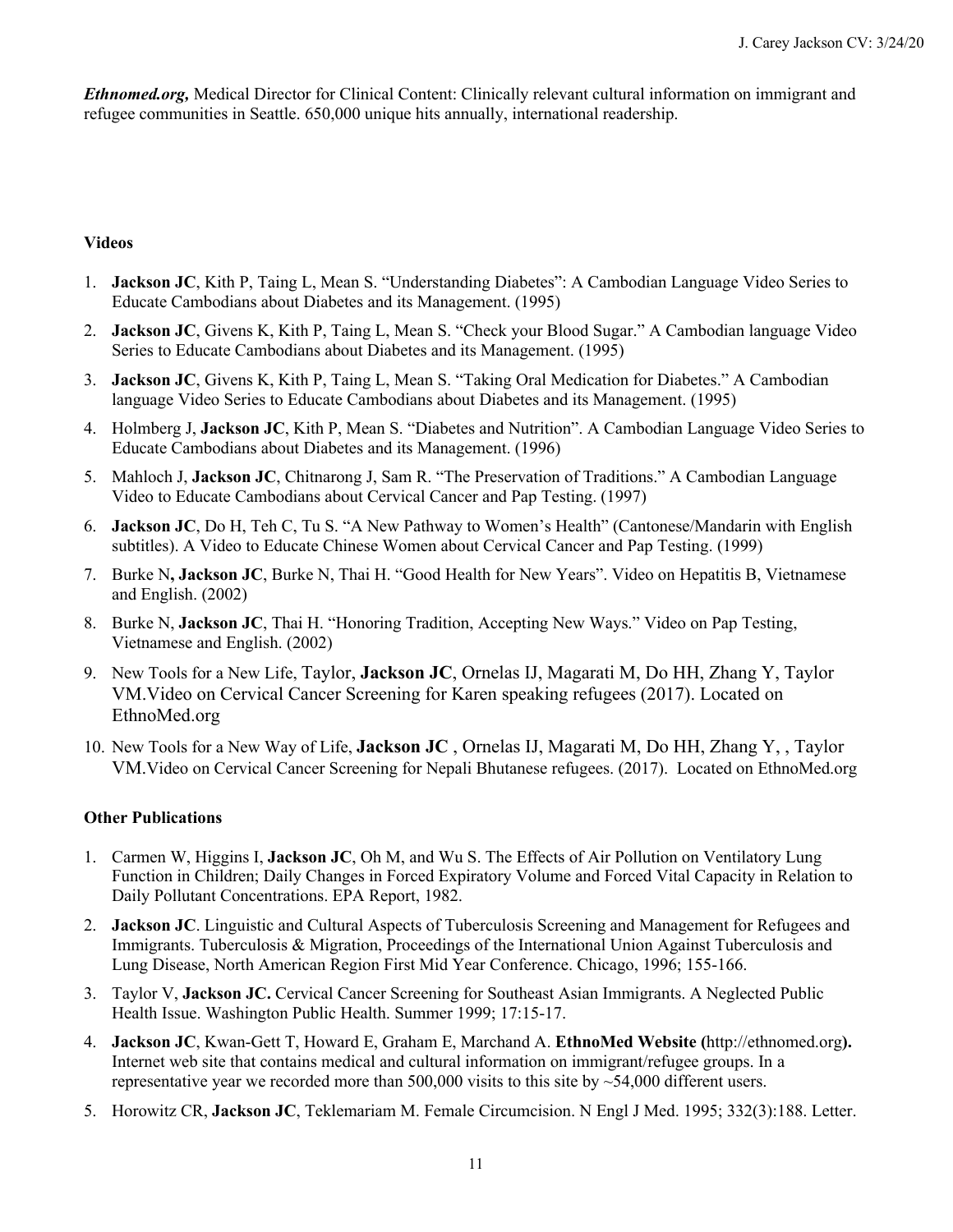*[Ethnomed.org,](https://Ethnomed.org)* Medical Director for Clinical Content: Clinically relevant cultural information on immigrant and refugee communities in Seattle. 650,000 unique hits annually, international readership.

#### **Videos**

- 1. **Jackson JC**, Kith P, Taing L, Mean S. "Understanding Diabetes": A Cambodian Language Video Series to Educate Cambodians about Diabetes and its Management. (1995)
- 2. **Jackson JC**, Givens K, Kith P, Taing L, Mean S. "Check your Blood Sugar." A Cambodian language Video Series to Educate Cambodians about Diabetes and its Management. (1995)
- 3. **Jackson JC**, Givens K, Kith P, Taing L, Mean S. "Taking Oral Medication for Diabetes." A Cambodian language Video Series to Educate Cambodians about Diabetes and its Management. (1995)
- 4. Holmberg J, **Jackson JC**, Kith P, Mean S. "Diabetes and Nutrition". A Cambodian Language Video Series to Educate Cambodians about Diabetes and its Management. (1996)
- 5. Mahloch J, **Jackson JC**, Chitnarong J, Sam R. "The Preservation of Traditions." A Cambodian Language Video to Educate Cambodians about Cervical Cancer and Pap Testing. (1997)
- 6. **Jackson JC**, Do H, Teh C, Tu S. "A New Pathway to Women's Health" (Cantonese/Mandarin with English subtitles). A Video to Educate Chinese Women about Cervical Cancer and Pap Testing. (1999)
- 7. Burke N**, Jackson JC**, Burke N, Thai H. "Good Health for New Years". Video on Hepatitis B, Vietnamese and English. (2002)
- 8. Burke N, **Jackson JC**, Thai H. "Honoring Tradition, Accepting New Ways." Video on Pap Testing, Vietnamese and English. (2002)
- 9. New Tools for a New Life, Taylor, **Jackson JC**, Ornelas IJ, Magarati M, Do HH, Zhang Y, Taylor VM.Video on Cervical Cancer Screening for Karen speaking refugees (2017). Located on [EthnoMed.org](https://EthnoMed.org)
- 10. New Tools for a New Way of Life, **Jackson JC** , Ornelas IJ, Magarati M, Do HH, Zhang Y, , Taylor VM.Video on Cervical Cancer Screening for Nepali Bhutanese refugees. (2017). Located on [EthnoMed.org](https://EthnoMed.org)

#### **Other Publications**

- 1. Carmen W, Higgins I, **Jackson JC**, Oh M, and Wu S. The Effects of Air Pollution on Ventilatory Lung Daily Pollutant Concentrations. EPA Report, 1982. Function in Children; Daily Changes in Forced Expiratory Volume and Forced Vital Capacity in Relation to
- 2. **Jackson JC**. Linguistic and Cultural Aspects of Tuberculosis Screening and Management for Refugees and Immigrants. Tuberculosis & Migration, Proceedings of the International Union Against Tuberculosis and Lung Disease, North American Region First Mid Year Conference. Chicago, 1996; 155-166.
- 3. Taylor V, **Jackson JC.** Cervical Cancer Screening for Southeast Asian Immigrants. A Neglected Public Health Issue. Washington Public Health. Summer 1999; 17:15-17.
- 4. **Jackson JC**, Kwan-Gett T, Howard E, Graham E, Marchand A. **EthnoMed Website (**<http://ethnomed.org>**).**  representative year we recorded more than  $500,000$  visits to this site by  $\sim$ 54,000 different users. Internet web site that contains medical and cultural information on immigrant/refugee groups. In a
- 5. Horowitz CR, **Jackson JC**, Teklemariam M. Female Circumcision. N Engl J Med. 1995; 332(3):188. Letter.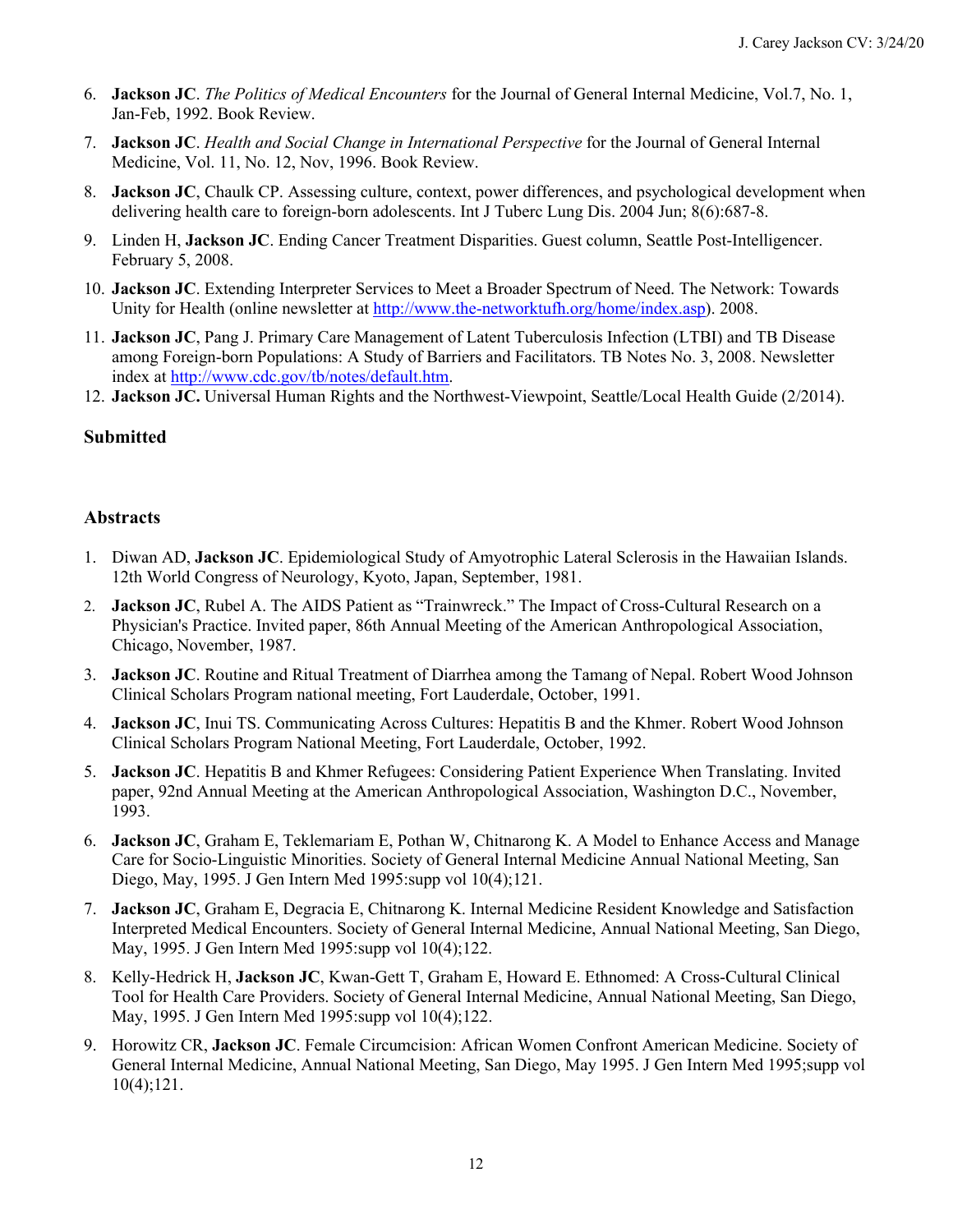- 6. **Jackson JC**. *The Politics of Medical Encounters* for the Journal of General Internal Medicine, Vol.7, No. 1, Jan-Feb, 1992. Book Review.
- Medicine, Vol. 11, No. 12, Nov, 1996. Book Review. 7. **Jackson JC**. *Health and Social Change in International Perspective* for the Journal of General Internal
- 8. **Jackson JC**, Chaulk CP. Assessing culture, context, power differences, and psychological development when delivering health care to foreign-born adolescents. Int J Tuberc Lung Dis. 2004 Jun; 8(6):687-8.
- 9. Linden H, **Jackson JC**. Ending Cancer Treatment Disparities. Guest column, Seattle Post-Intelligencer. February 5, 2008.
- Unity for Health (online newsletter at <http://www.the-networktufh.org/home/index.asp>). 2008. 10. **Jackson JC**. Extending Interpreter Services to Meet a Broader Spectrum of Need. The Network: Towards
- 11. **Jackson JC**, Pang J. Primary Care Management of Latent Tuberculosis Infection (LTBI) and TB Disease among Foreign-born Populations: A Study of Barriers and Facilitators. TB Notes No. 3, 2008. Newsletter index at [http://www.cdc.gov/tb/notes/default.htm.](http://www.cdc.gov/tb/notes/default.htm)
- 12. **Jackson JC.** Universal Human Rights and the Northwest-Viewpoint, Seattle/Local Health Guide (2/2014).

### **Submitted**

### **Abstracts**

- 1. Diwan AD, **Jackson JC**. Epidemiological Study of Amyotrophic Lateral Sclerosis in the Hawaiian Islands. 12th World Congress of Neurology, Kyoto, Japan, September, 1981.
- 2. **Jackson JC**, Rubel A. The AIDS Patient as "Trainwreck." The Impact of Cross-Cultural Research on a Physician's Practice. Invited paper, 86th Annual Meeting of the American Anthropological Association, Chicago, November, 1987.
- 3. **Jackson JC**. Routine and Ritual Treatment of Diarrhea among the Tamang of Nepal. Robert Wood Johnson Clinical Scholars Program national meeting, Fort Lauderdale, October, 1991.
- 4. **Jackson JC**, Inui TS. Communicating Across Cultures: Hepatitis B and the Khmer. Robert Wood Johnson Clinical Scholars Program National Meeting, Fort Lauderdale, October, 1992.
- 5. **Jackson JC**. Hepatitis B and Khmer Refugees: Considering Patient Experience When Translating. Invited paper, 92nd Annual Meeting at the American Anthropological Association, Washington D.C., November, 1993.
- 6. **Jackson JC**, Graham E, Teklemariam E, Pothan W, Chitnarong K. A Model to Enhance Access and Manage Care for Socio-Linguistic Minorities. Society of General Internal Medicine Annual National Meeting, San Diego, May, 1995. J Gen Intern Med 1995:supp vol 10(4);121.
- 7. **Jackson JC**, Graham E, Degracia E, Chitnarong K. Internal Medicine Resident Knowledge and Satisfaction Interpreted Medical Encounters. Society of General Internal Medicine, Annual National Meeting, San Diego, May, 1995. J Gen Intern Med 1995:supp vol 10(4);122.
- 8. Kelly-Hedrick H, **Jackson JC**, Kwan-Gett T, Graham E, Howard E. Ethnomed: A Cross-Cultural Clinical Tool for Health Care Providers. Society of General Internal Medicine, Annual National Meeting, San Diego, May, 1995. J Gen Intern Med 1995:supp vol 10(4);122.
- 9. Horowitz CR, **Jackson JC**. Female Circumcision: African Women Confront American Medicine. Society of General Internal Medicine, Annual National Meeting, San Diego, May 1995. J Gen Intern Med 1995;supp vol 10(4);121.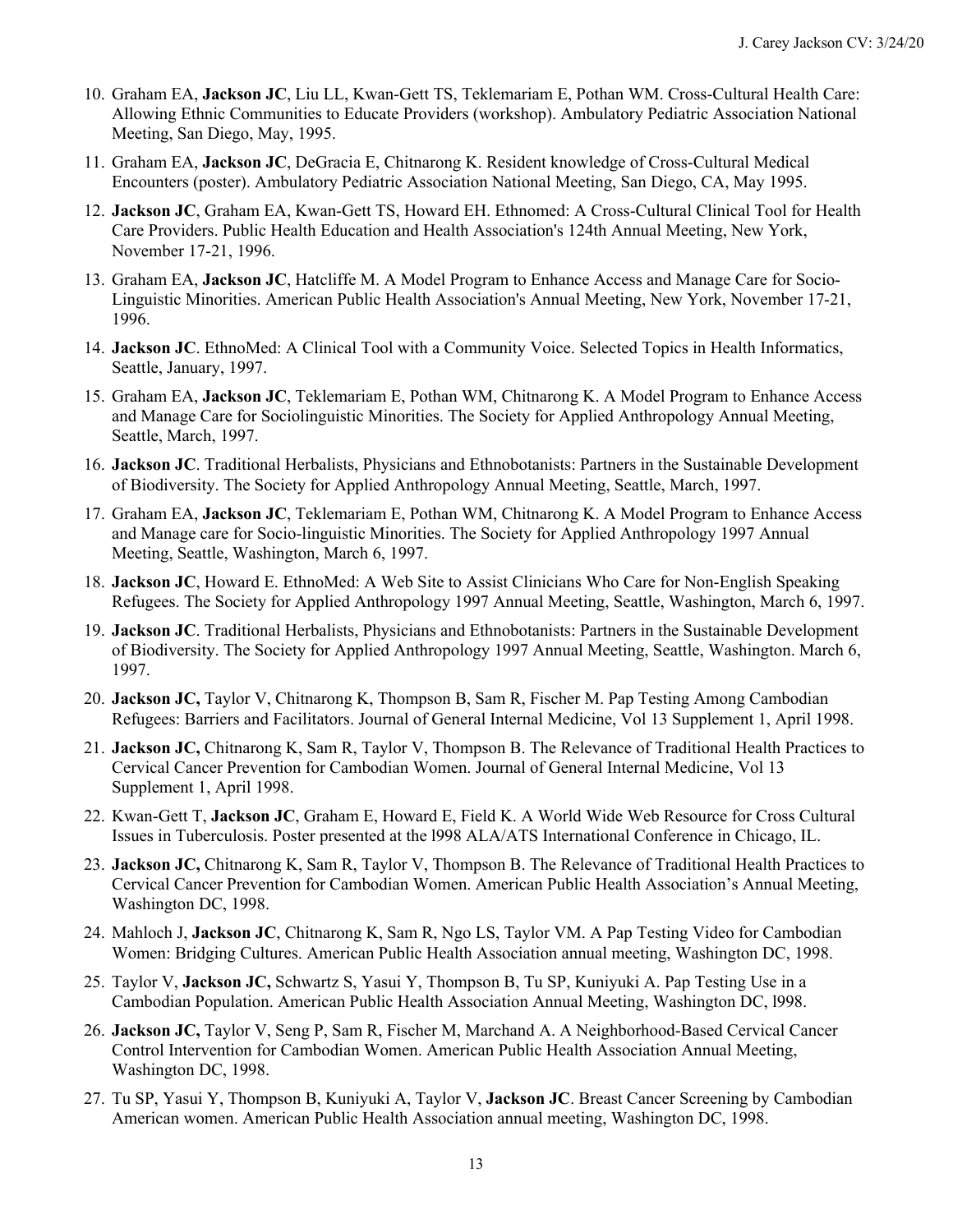- 10. Graham EA, **Jackson JC**, Liu LL, Kwan-Gett TS, Teklemariam E, Pothan WM. Cross-Cultural Health Care: Allowing Ethnic Communities to Educate Providers (workshop). Ambulatory Pediatric Association National Meeting, San Diego, May, 1995.
- 11. Graham EA, **Jackson JC**, DeGracia E, Chitnarong K. Resident knowledge of Cross-Cultural Medical Encounters (poster). Ambulatory Pediatric Association National Meeting, San Diego, CA, May 1995.
- 12. **Jackson JC**, Graham EA, Kwan-Gett TS, Howard EH. Ethnomed: A Cross-Cultural Clinical Tool for Health Care Providers. Public Health Education and Health Association's 124th Annual Meeting, New York, November 17-21, 1996.
- 13. Graham EA, **Jackson JC**, Hatcliffe M. A Model Program to Enhance Access and Manage Care for Socio- Linguistic Minorities. American Public Health Association's Annual Meeting, New York, November 17-21, 1996.
- 14. **Jackson JC**. EthnoMed: A Clinical Tool with a Community Voice. Selected Topics in Health Informatics, Seattle, January, 1997.
- 15. Graham EA, **Jackson JC**, Teklemariam E, Pothan WM, Chitnarong K. A Model Program to Enhance Access and Manage Care for Sociolinguistic Minorities. The Society for Applied Anthropology Annual Meeting, Seattle, March, 1997.
- 16. **Jackson JC**. Traditional Herbalists, Physicians and Ethnobotanists: Partners in the Sustainable Development of Biodiversity. The Society for Applied Anthropology Annual Meeting, Seattle, March, 1997.
- 17. Graham EA, **Jackson JC**, Teklemariam E, Pothan WM, Chitnarong K. A Model Program to Enhance Access and Manage care for Socio-linguistic Minorities. The Society for Applied Anthropology 1997 Annual Meeting, Seattle, Washington, March 6, 1997.
- 18. **Jackson JC**, Howard E. EthnoMed: A Web Site to Assist Clinicians Who Care for Non-English Speaking Refugees. The Society for Applied Anthropology 1997 Annual Meeting, Seattle, Washington, March 6, 1997.
- 19. **Jackson JC**. Traditional Herbalists, Physicians and Ethnobotanists: Partners in the Sustainable Development of Biodiversity. The Society for Applied Anthropology 1997 Annual Meeting, Seattle, Washington. March 6, 1997.
- 20. **Jackson JC,** Taylor V, Chitnarong K, Thompson B, Sam R, Fischer M. Pap Testing Among Cambodian Refugees: Barriers and Facilitators. Journal of General Internal Medicine, Vol 13 Supplement 1, April 1998.
- 21. **Jackson JC,** Chitnarong K, Sam R, Taylor V, Thompson B. The Relevance of Traditional Health Practices to Cervical Cancer Prevention for Cambodian Women. Journal of General Internal Medicine, Vol 13 Supplement 1, April 1998.
- 22. Kwan-Gett T, **Jackson JC**, Graham E, Howard E, Field K. A World Wide Web Resource for Cross Cultural Issues in Tuberculosis. Poster presented at the l998 ALA/ATS International Conference in Chicago, IL.
- 23. **Jackson JC,** Chitnarong K, Sam R, Taylor V, Thompson B. The Relevance of Traditional Health Practices to Cervical Cancer Prevention for Cambodian Women. American Public Health Association's Annual Meeting, Washington DC, 1998.
- 24. Mahloch J, **Jackson JC**, Chitnarong K, Sam R, Ngo LS, Taylor VM. A Pap Testing Video for Cambodian Women: Bridging Cultures. American Public Health Association annual meeting, Washington DC, 1998.
- 25. Taylor V, **Jackson JC,** Schwartz S, Yasui Y, Thompson B, Tu SP, Kuniyuki A. Pap Testing Use in a Cambodian Population. American Public Health Association Annual Meeting, Washington DC, l998.
- 26. **Jackson JC,** Taylor V, Seng P, Sam R, Fischer M, Marchand A. A Neighborhood-Based Cervical Cancer Control Intervention for Cambodian Women. American Public Health Association Annual Meeting, Washington DC, 1998.
- 27. Tu SP, Yasui Y, Thompson B, Kuniyuki A, Taylor V, **Jackson JC**. Breast Cancer Screening by Cambodian American women. American Public Health Association annual meeting, Washington DC, 1998.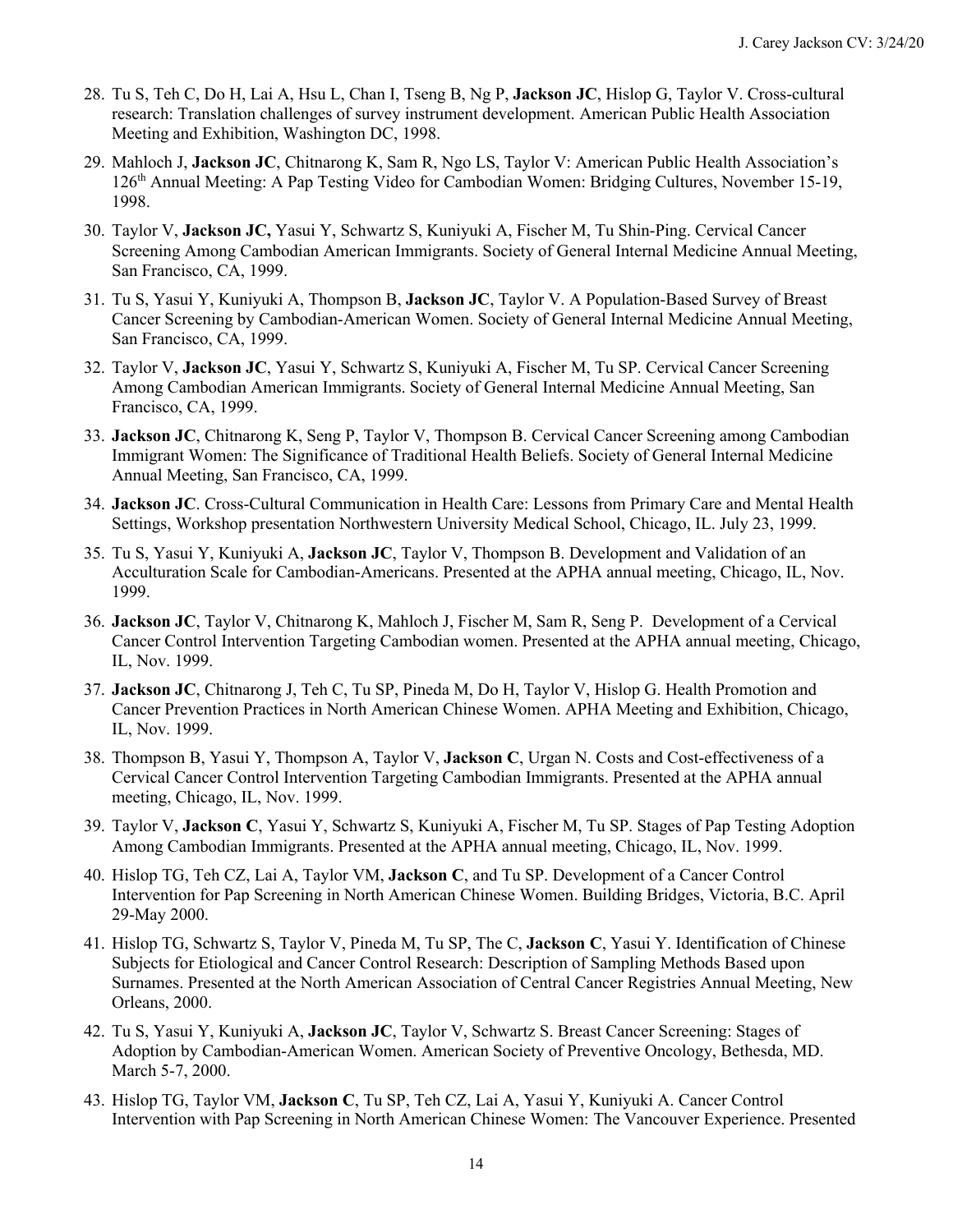- 28. Tu S, Teh C, Do H, Lai A, Hsu L, Chan I, Tseng B, Ng P, **Jackson JC**, Hislop G, Taylor V. Cross-cultural research: Translation challenges of survey instrument development. American Public Health Association Meeting and Exhibition, Washington DC, 1998.
- 29. Mahloch J, **Jackson JC**, Chitnarong K, Sam R, Ngo LS, Taylor V: American Public Health Association's 126th Annual Meeting: A Pap Testing Video for Cambodian Women: Bridging Cultures, November 15-19, 1998.
- 30. Taylor V, **Jackson JC,** Yasui Y, Schwartz S, Kuniyuki A, Fischer M, Tu Shin-Ping. Cervical Cancer Screening Among Cambodian American Immigrants. Society of General Internal Medicine Annual Meeting, San Francisco, CA, 1999.
- 31. Tu S, Yasui Y, Kuniyuki A, Thompson B, **Jackson JC**, Taylor V. A Population-Based Survey of Breast Cancer Screening by Cambodian-American Women. Society of General Internal Medicine Annual Meeting, San Francisco, CA, 1999.
- 32. Taylor V, **Jackson JC**, Yasui Y, Schwartz S, Kuniyuki A, Fischer M, Tu SP. Cervical Cancer Screening Among Cambodian American Immigrants. Society of General Internal Medicine Annual Meeting, San Francisco, CA, 1999.
- 33. **Jackson JC**, Chitnarong K, Seng P, Taylor V, Thompson B. Cervical Cancer Screening among Cambodian Immigrant Women: The Significance of Traditional Health Beliefs. Society of General Internal Medicine Annual Meeting, San Francisco, CA, 1999.
- 34. **Jackson JC**. Cross-Cultural Communication in Health Care: Lessons from Primary Care and Mental Health Settings, Workshop presentation Northwestern University Medical School, Chicago, IL. July 23, 1999.
- 35. Tu S, Yasui Y, Kuniyuki A, **Jackson JC**, Taylor V, Thompson B. Development and Validation of an Acculturation Scale for Cambodian-Americans. Presented at the APHA annual meeting, Chicago, IL, Nov. 1999.
- 36. **Jackson JC**, Taylor V, Chitnarong K, Mahloch J, Fischer M, Sam R, Seng P. Development of a Cervical Cancer Control Intervention Targeting Cambodian women. Presented at the APHA annual meeting, Chicago, IL, Nov. 1999.
- 37. **Jackson JC**, Chitnarong J, Teh C, Tu SP, Pineda M, Do H, Taylor V, Hislop G. Health Promotion and Cancer Prevention Practices in North American Chinese Women. APHA Meeting and Exhibition, Chicago, IL, Nov. 1999.
- 38. Thompson B, Yasui Y, Thompson A, Taylor V, **Jackson C**, Urgan N. Costs and Cost-effectiveness of a Cervical Cancer Control Intervention Targeting Cambodian Immigrants. Presented at the APHA annual meeting, Chicago, IL, Nov. 1999.
- 39. Taylor V, **Jackson C**, Yasui Y, Schwartz S, Kuniyuki A, Fischer M, Tu SP. Stages of Pap Testing Adoption Among Cambodian Immigrants. Presented at the APHA annual meeting, Chicago, IL, Nov. 1999.
- 40. Hislop TG, Teh CZ, Lai A, Taylor VM, **Jackson C**, and Tu SP. Development of a Cancer Control Intervention for Pap Screening in North American Chinese Women. Building Bridges, Victoria, B.C. April 29-May 2000.
- 41. Hislop TG, Schwartz S, Taylor V, Pineda M, Tu SP, The C, **Jackson C**, Yasui Y. Identification of Chinese Subjects for Etiological and Cancer Control Research: Description of Sampling Methods Based upon Surnames. Presented at the North American Association of Central Cancer Registries Annual Meeting, New Orleans, 2000.
- 42. Tu S, Yasui Y, Kuniyuki A, **Jackson JC**, Taylor V, Schwartz S. Breast Cancer Screening: Stages of Adoption by Cambodian-American Women. American Society of Preventive Oncology, Bethesda, MD. March 5-7, 2000.
- 43. Hislop TG, Taylor VM, **Jackson C**, Tu SP, Teh CZ, Lai A, Yasui Y, Kuniyuki A. Cancer Control Intervention with Pap Screening in North American Chinese Women: The Vancouver Experience. Presented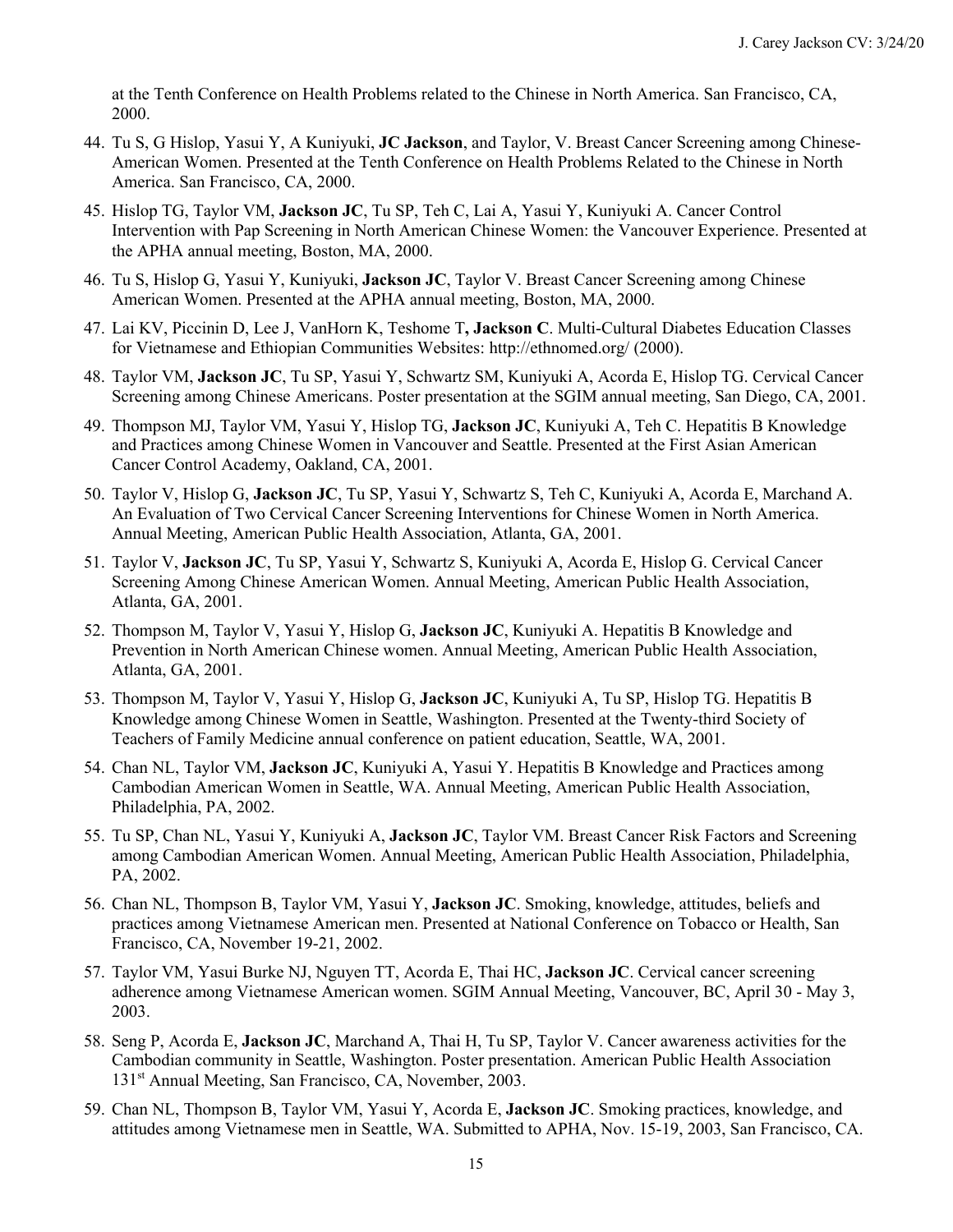at the Tenth Conference on Health Problems related to the Chinese in North America. San Francisco, CA, 2000.

- 44. Tu S, G Hislop, Yasui Y, A Kuniyuki, **JC Jackson**, and Taylor, V. Breast Cancer Screening among Chinese- American Women. Presented at the Tenth Conference on Health Problems Related to the Chinese in North America. San Francisco, CA, 2000.
- 45. Hislop TG, Taylor VM, **Jackson JC**, Tu SP, Teh C, Lai A, Yasui Y, Kuniyuki A. Cancer Control Intervention with Pap Screening in North American Chinese Women: the Vancouver Experience. Presented at the APHA annual meeting, Boston, MA, 2000.
- 46. Tu S, Hislop G, Yasui Y, Kuniyuki, **Jackson JC**, Taylor V. Breast Cancer Screening among Chinese American Women. Presented at the APHA annual meeting, Boston, MA, 2000.
- 47. Lai KV, Piccinin D, Lee J, VanHorn K, Teshome T**, Jackson C**. Multi-Cultural Diabetes Education Classes for Vietnamese and Ethiopian Communities Websites: [http://ethnomed.org/](http://ethnomed.org) (2000).
- 48. Taylor VM, **Jackson JC**, Tu SP, Yasui Y, Schwartz SM, Kuniyuki A, Acorda E, Hislop TG. Cervical Cancer Screening among Chinese Americans. Poster presentation at the SGIM annual meeting, San Diego, CA, 2001.
- 49. Thompson MJ, Taylor VM, Yasui Y, Hislop TG, **Jackson JC**, Kuniyuki A, Teh C. Hepatitis B Knowledge and Practices among Chinese Women in Vancouver and Seattle. Presented at the First Asian American Cancer Control Academy, Oakland, CA, 2001.
- 50. Taylor V, Hislop G, **Jackson JC**, Tu SP, Yasui Y, Schwartz S, Teh C, Kuniyuki A, Acorda E, Marchand A. An Evaluation of Two Cervical Cancer Screening Interventions for Chinese Women in North America. Annual Meeting, American Public Health Association, Atlanta, GA, 2001.
- 51. Taylor V, **Jackson JC**, Tu SP, Yasui Y, Schwartz S, Kuniyuki A, Acorda E, Hislop G. Cervical Cancer Screening Among Chinese American Women. Annual Meeting, American Public Health Association, Atlanta, GA, 2001.
- 52. Thompson M, Taylor V, Yasui Y, Hislop G, **Jackson JC**, Kuniyuki A. Hepatitis B Knowledge and Prevention in North American Chinese women. Annual Meeting, American Public Health Association, Atlanta, GA, 2001.
- 53. Thompson M, Taylor V, Yasui Y, Hislop G, **Jackson JC**, Kuniyuki A, Tu SP, Hislop TG. Hepatitis B Knowledge among Chinese Women in Seattle, Washington. Presented at the Twenty-third Society of Teachers of Family Medicine annual conference on patient education, Seattle, WA, 2001.
- 54. Chan NL, Taylor VM, **Jackson JC**, Kuniyuki A, Yasui Y. Hepatitis B Knowledge and Practices among Cambodian American Women in Seattle, WA. Annual Meeting, American Public Health Association, Philadelphia, PA, 2002.
- 55. Tu SP, Chan NL, Yasui Y, Kuniyuki A, **Jackson JC**, Taylor VM. Breast Cancer Risk Factors and Screening among Cambodian American Women. Annual Meeting, American Public Health Association, Philadelphia, PA, 2002.
- 56. Chan NL, Thompson B, Taylor VM, Yasui Y, **Jackson JC**. Smoking, knowledge, attitudes, beliefs and practices among Vietnamese American men. Presented at National Conference on Tobacco or Health, San Francisco, CA, November 19-21, 2002.
- 57. Taylor VM, Yasui Burke NJ, Nguyen TT, Acorda E, Thai HC, **Jackson JC**. Cervical cancer screening adherence among Vietnamese American women. SGIM Annual Meeting, Vancouver, BC, April 30 - May 3, 2003.
- 58. Seng P, Acorda E, **Jackson JC**, Marchand A, Thai H, Tu SP, Taylor V. Cancer awareness activities for the Cambodian community in Seattle, Washington. Poster presentation. American Public Health Association 131<sup>st</sup> Annual Meeting, San Francisco, CA, November, 2003.
- 59. Chan NL, Thompson B, Taylor VM, Yasui Y, Acorda E, **Jackson JC**. Smoking practices, knowledge, and attitudes among Vietnamese men in Seattle, WA. Submitted to APHA, Nov. 15-19, 2003, San Francisco, CA.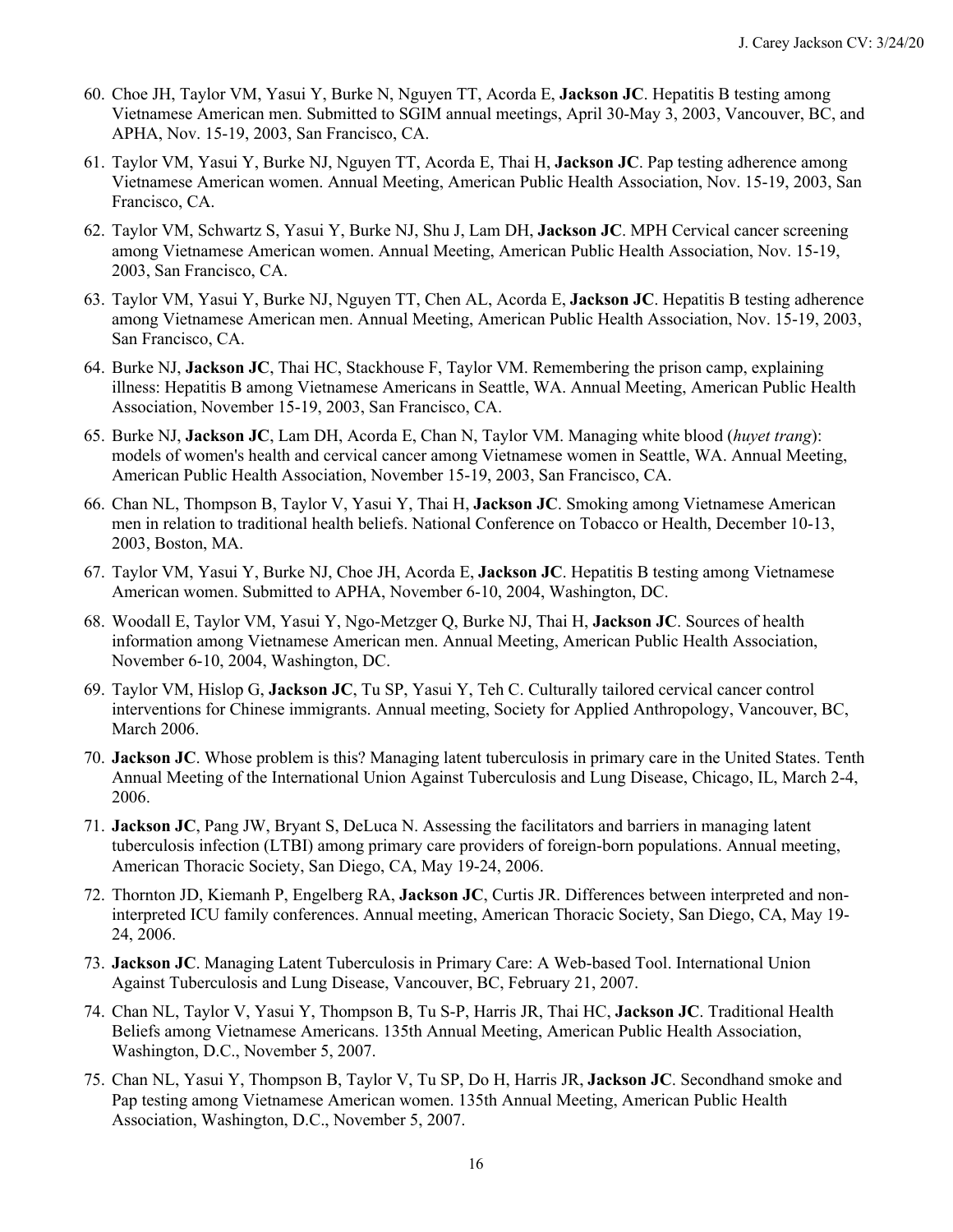- 60. Choe JH, Taylor VM, Yasui Y, Burke N, Nguyen TT, Acorda E, **Jackson JC**. Hepatitis B testing among Vietnamese American men. Submitted to SGIM annual meetings, April 30-May 3, 2003, Vancouver, BC, and APHA, Nov. 15-19, 2003, San Francisco, CA.
- 61. Taylor VM, Yasui Y, Burke NJ, Nguyen TT, Acorda E, Thai H, **Jackson JC**. Pap testing adherence among Vietnamese American women. Annual Meeting, American Public Health Association, Nov. 15-19, 2003, San Francisco, CA.
- 62. Taylor VM, Schwartz S, Yasui Y, Burke NJ, Shu J, Lam DH, **Jackson JC**. MPH Cervical cancer screening among Vietnamese American women. Annual Meeting, American Public Health Association, Nov. 15-19, 2003, San Francisco, CA.
- 63. Taylor VM, Yasui Y, Burke NJ, Nguyen TT, Chen AL, Acorda E, **Jackson JC**. Hepatitis B testing adherence among Vietnamese American men. Annual Meeting, American Public Health Association, Nov. 15-19, 2003, San Francisco, CA.
- 64. Burke NJ, **Jackson JC**, Thai HC, Stackhouse F, Taylor VM. Remembering the prison camp, explaining illness: Hepatitis B among Vietnamese Americans in Seattle, WA. Annual Meeting, American Public Health Association, November 15-19, 2003, San Francisco, CA.
- 65. Burke NJ, **Jackson JC**, Lam DH, Acorda E, Chan N, Taylor VM. Managing white blood (*huyet trang*): models of women's health and cervical cancer among Vietnamese women in Seattle, WA. Annual Meeting, American Public Health Association, November 15-19, 2003, San Francisco, CA.
- 66. Chan NL, Thompson B, Taylor V, Yasui Y, Thai H, **Jackson JC**. Smoking among Vietnamese American men in relation to traditional health beliefs. National Conference on Tobacco or Health, December 10-13, 2003, Boston, MA.
- 67. Taylor VM, Yasui Y, Burke NJ, Choe JH, Acorda E, **Jackson JC**. Hepatitis B testing among Vietnamese American women. Submitted to APHA, November 6-10, 2004, Washington, DC.
- 68. Woodall E, Taylor VM, Yasui Y, Ngo-Metzger Q, Burke NJ, Thai H, **Jackson JC**. Sources of health information among Vietnamese American men. Annual Meeting, American Public Health Association, November 6-10, 2004, Washington, DC.
- 69. Taylor VM, Hislop G, **Jackson JC**, Tu SP, Yasui Y, Teh C. Culturally tailored cervical cancer control interventions for Chinese immigrants. Annual meeting, Society for Applied Anthropology, Vancouver, BC, March 2006.
- 70. **Jackson JC**. Whose problem is this? Managing latent tuberculosis in primary care in the United States. Tenth Annual Meeting of the International Union Against Tuberculosis and Lung Disease, Chicago, IL, March 2-4, 2006.
- 71. **Jackson JC**, Pang JW, Bryant S, DeLuca N. Assessing the facilitators and barriers in managing latent American Thoracic Society, San Diego, CA, May 19-24, 2006. tuberculosis infection (LTBI) among primary care providers of foreign-born populations. Annual meeting,
- 72. Thornton JD, Kiemanh P, Engelberg RA, **Jackson JC**, Curtis JR. Differences between interpreted and non- interpreted ICU family conferences. Annual meeting, American Thoracic Society, San Diego, CA, May 19- 24, 2006.
- 73. **Jackson JC**. Managing Latent Tuberculosis in Primary Care: A Web-based Tool. International Union Against Tuberculosis and Lung Disease, Vancouver, BC, February 21, 2007.
- 74. Chan NL, Taylor V, Yasui Y, Thompson B, Tu S-P, Harris JR, Thai HC, **Jackson JC**. Traditional Health Beliefs among Vietnamese Americans. 135th Annual Meeting, American Public Health Association, Washington, D.C., November 5, 2007.
- 75. Chan NL, Yasui Y, Thompson B, Taylor V, Tu SP, Do H, Harris JR, **Jackson JC**. Secondhand smoke and Pap testing among Vietnamese American women. 135th Annual Meeting, American Public Health Association, Washington, D.C., November 5, 2007.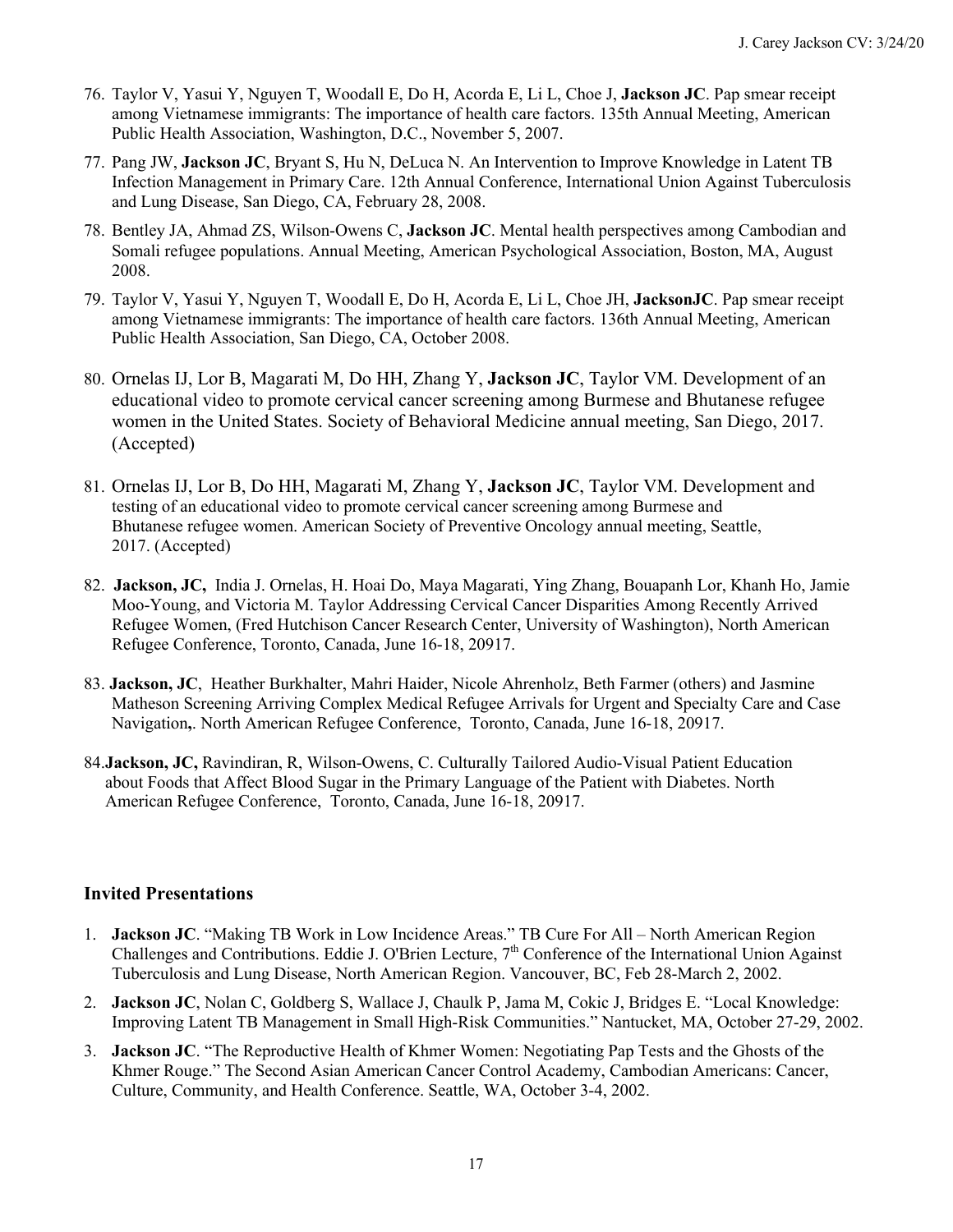- 76. Taylor V, Yasui Y, Nguyen T, Woodall E, Do H, Acorda E, Li L, Choe J, **Jackson JC**. Pap smear receipt among Vietnamese immigrants: The importance of health care factors. 135th Annual Meeting, American Public Health Association, Washington, D.C., November 5, 2007.
- 77. Pang JW, **Jackson JC**, Bryant S, Hu N, DeLuca N. An Intervention to Improve Knowledge in Latent TB Infection Management in Primary Care. 12th Annual Conference, International Union Against Tuberculosis and Lung Disease, San Diego, CA, February 28, 2008.
- 78. Bentley JA, Ahmad ZS, Wilson-Owens C, **Jackson JC**. Mental health perspectives among Cambodian and Somali refugee populations. Annual Meeting, American Psychological Association, Boston, MA, August 2008.
- 79. Taylor V, Yasui Y, Nguyen T, Woodall E, Do H, Acorda E, Li L, Choe JH, **JacksonJC**. Pap smear receipt Public Health Association, San Diego, CA, October 2008. among Vietnamese immigrants: The importance of health care factors. 136th Annual Meeting, American
- 80. Ornelas IJ, Lor B, Magarati M, Do HH, Zhang Y, **Jackson JC**, Taylor VM. Development of an educational video to promote cervical cancer screening among Burmese and Bhutanese refugee women in the United States. Society of Behavioral Medicine annual meeting, San Diego, 2017. (Accepted)
- Bhutanese refugee women. American Society of Preventive Oncology annual meeting, Seattle, 81. Ornelas IJ, Lor B, Do HH, Magarati M, Zhang Y, **Jackson JC**, Taylor VM. Development and testing of an educational video to promote cervical cancer screening among Burmese and 2017. (Accepted)
- 82. **Jackson, JC,** India J. Ornelas, H. Hoai Do, Maya Magarati, Ying Zhang, Bouapanh Lor, Khanh Ho, Jamie Moo-Young, and Victoria M. Taylor Addressing Cervical Cancer Disparities Among Recently Arrived Refugee Conference, Toronto, Canada, June 16-18, 20917. Refugee Women, (Fred Hutchison Cancer Research Center, University of Washington), North American
- Matheson Screening Arriving Complex Medical Refugee Arrivals for Urgent and Specialty Care and Case Navigation**,**. North American Refugee Conference, Toronto, Canada, June 16-18, 20917. 83. **Jackson, JC**, Heather Burkhalter, Mahri Haider, Nicole Ahrenholz, Beth Farmer (others) and Jasmine
- 84.**Jackson, JC,** Ravindiran, R, Wilson-Owens, C. Culturally Tailored Audio-Visual Patient Education about Foods that Affect Blood Sugar in the Primary Language of the Patient with Diabetes. North American Refugee Conference, Toronto, Canada, June 16-18, 20917.

### **Invited Presentations**

- 1. **Jackson JC**. "Making TB Work in Low Incidence Areas." TB Cure For All North American Region Challenges and Contributions. Eddie J. O'Brien Lecture,  $7<sup>th</sup>$  Conference of the International Union Against Tuberculosis and Lung Disease, North American Region. Vancouver, BC, Feb 28-March 2, 2002.
- 2. **Jackson JC**, Nolan C, Goldberg S, Wallace J, Chaulk P, Jama M, Cokic J, Bridges E. "Local Knowledge: Improving Latent TB Management in Small High-Risk Communities." Nantucket, MA, October 27-29, 2002.
- 3. **Jackson JC**. "The Reproductive Health of Khmer Women: Negotiating Pap Tests and the Ghosts of the Khmer Rouge." The Second Asian American Cancer Control Academy, Cambodian Americans: Cancer, Culture, Community, and Health Conference. Seattle, WA, October 3-4, 2002.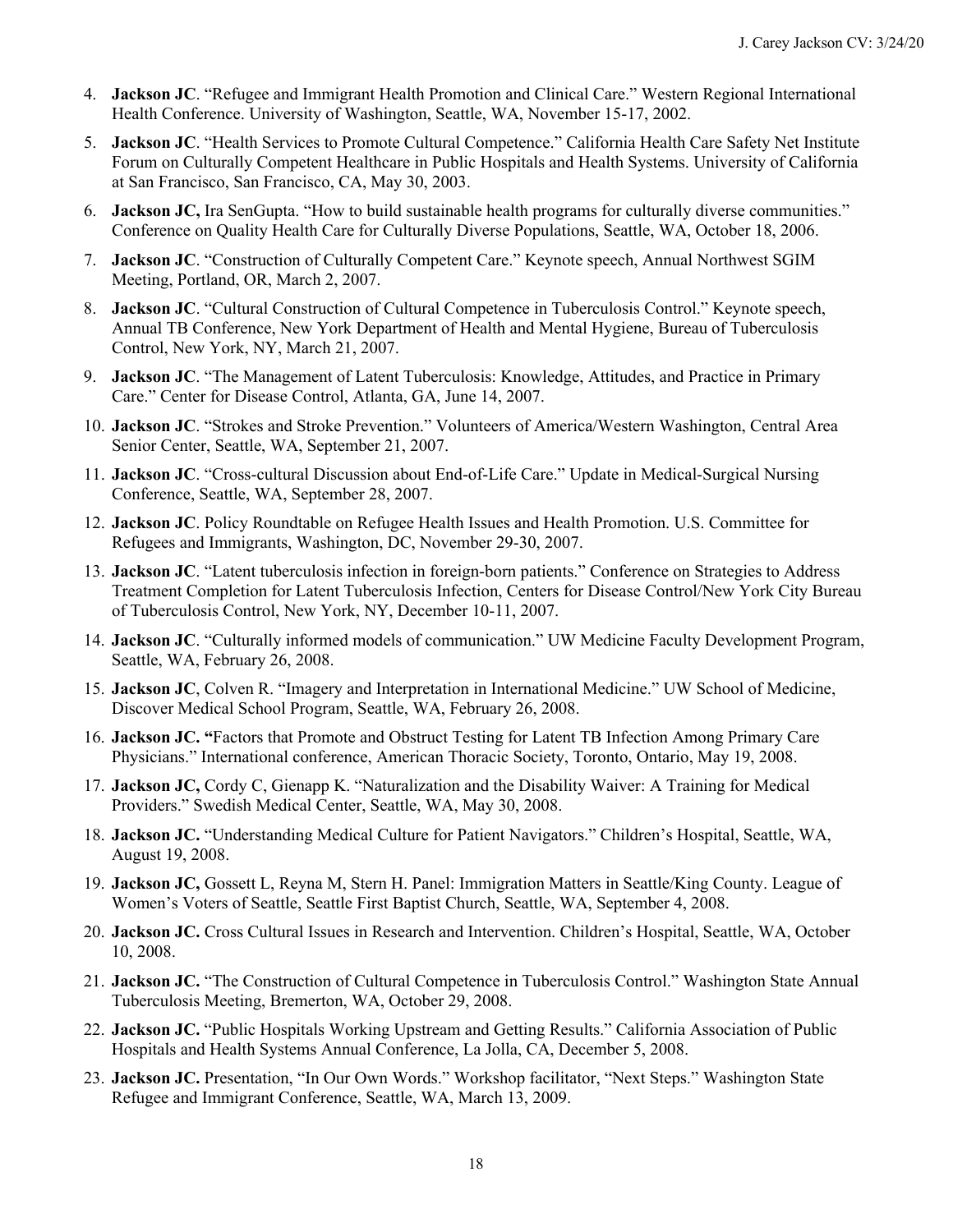- 4. **Jackson JC**. "Refugee and Immigrant Health Promotion and Clinical Care." Western Regional International Health Conference. University of Washington, Seattle, WA, November 15-17, 2002.
- 5. **Jackson JC**. "Health Services to Promote Cultural Competence." California Health Care Safety Net Institute Forum on Culturally Competent Healthcare in Public Hospitals and Health Systems. University of California at San Francisco, San Francisco, CA, May 30, 2003.
- 6. **Jackson JC,** Ira SenGupta. "How to build sustainable health programs for culturally diverse communities." Conference on Quality Health Care for Culturally Diverse Populations, Seattle, WA, October 18, 2006.
- 7. **Jackson JC**. "Construction of Culturally Competent Care." Keynote speech, Annual Northwest SGIM Meeting, Portland, OR, March 2, 2007.
- Meeting, Portland, OR, March 2, 2007.<br>8. **Jackson JC**. "Cultural Construction of Cultural Competence in Tuberculosis Control." Keynote speech, Annual TB Conference, New York Department of Health and Mental Hygiene, Bureau of Tuberculosis Control, New York, NY, March 21, 2007.
- Control, New York, NY, March 21, 2007. 9. **Jackson JC**. "The Management of Latent Tuberculosis: Knowledge, Attitudes, and Practice in Primary Care." Center for Disease Control, Atlanta, GA, June 14, 2007.
- 10. **Jackson JC**. "Strokes and Stroke Prevention." Volunteers of America/Western Washington, Central Area Senior Center, Seattle, WA, September 21, 2007.
- 11. **Jackson JC**. "Cross-cultural Discussion about End-of-Life Care." Update in Medical-Surgical Nursing Conference, Seattle, WA, September 28, 2007.
- 12. **Jackson JC**. Policy Roundtable on Refugee Health Issues and Health Promotion. U.S. Committee for Refugees and Immigrants, Washington, DC, November 29-30, 2007.
- 13. **Jackson JC**. "Latent tuberculosis infection in foreign-born patients." Conference on Strategies to Address Treatment Completion for Latent Tuberculosis Infection, Centers for Disease Control/New York City Bureau of Tuberculosis Control, New York, NY, December 10-11, 2007.
- 14. **Jackson JC**. "Culturally informed models of communication." UW Medicine Faculty Development Program, Seattle, WA, February 26, 2008.
- 15. **Jackson JC**, Colven R. "Imagery and Interpretation in International Medicine." UW School of Medicine, Discover Medical School Program, Seattle, WA, February 26, 2008.
- 16. **Jackson JC. "**Factors that Promote and Obstruct Testing for Latent TB Infection Among Primary Care Physicians." International conference, American Thoracic Society, Toronto, Ontario, May 19, 2008.
- 17. **Jackson JC,** Cordy C, Gienapp K. "Naturalization and the Disability Waiver: A Training for Medical Providers." Swedish Medical Center, Seattle, WA, May 30, 2008.
- 18. **Jackson JC.** "Understanding Medical Culture for Patient Navigators." Children's Hospital, Seattle, WA, August 19, 2008.
- 19. **Jackson JC,** Gossett L, Reyna M, Stern H. Panel: Immigration Matters in Seattle/King County. League of Women's Voters of Seattle, Seattle First Baptist Church, Seattle, WA, September 4, 2008.
- 20. **Jackson JC.** Cross Cultural Issues in Research and Intervention. Children's Hospital, Seattle, WA, October 10, 2008.
- 21. **Jackson JC.** "The Construction of Cultural Competence in Tuberculosis Control." Washington State Annual Tuberculosis Meeting, Bremerton, WA, October 29, 2008.
- 22. **Jackson JC.** "Public Hospitals Working Upstream and Getting Results." California Association of Public Hospitals and Health Systems Annual Conference, La Jolla, CA, December 5, 2008.
- 23. **Jackson JC.** Presentation, "In Our Own Words." Workshop facilitator, "Next Steps." Washington State Refugee and Immigrant Conference, Seattle, WA, March 13, 2009.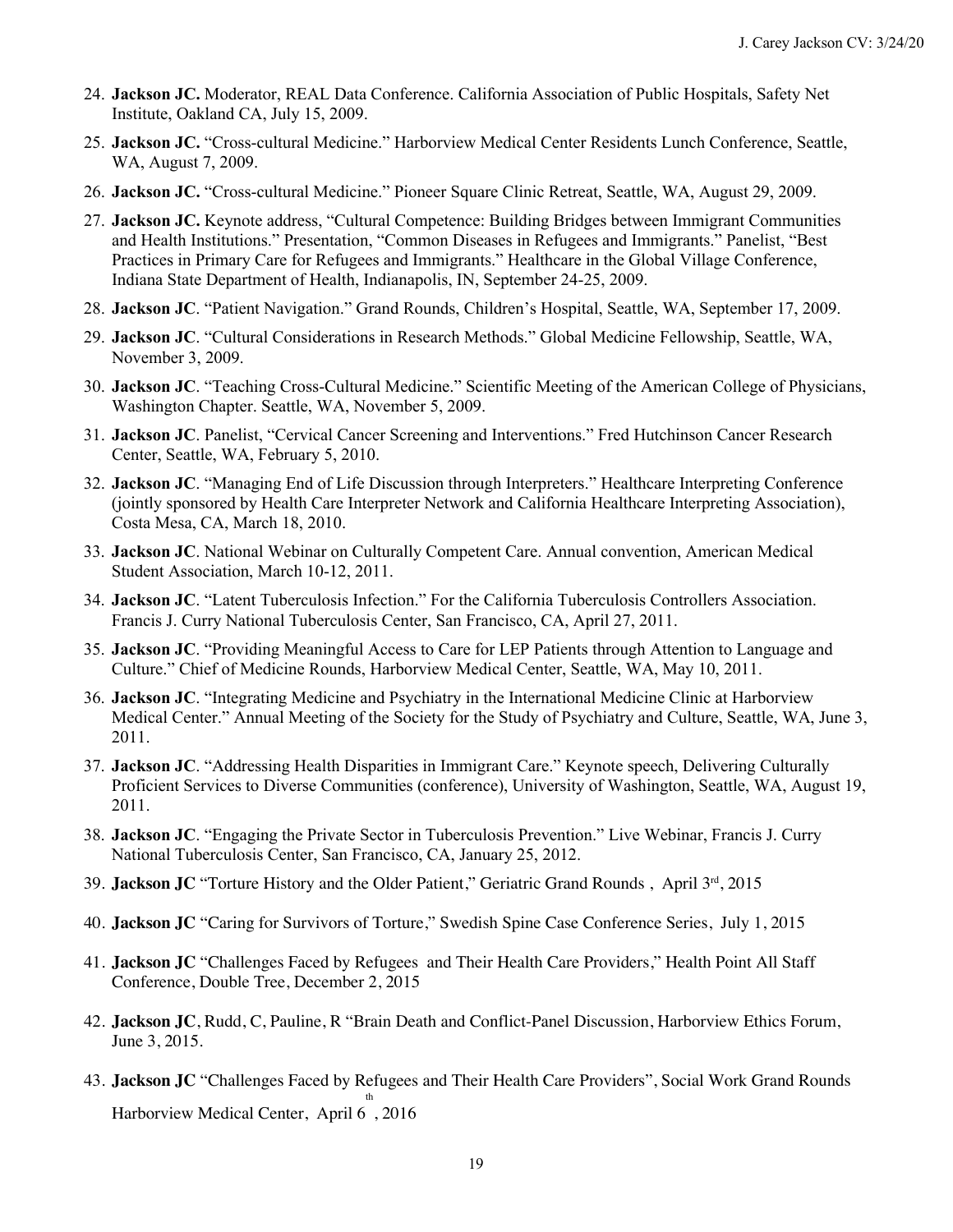- 24. **Jackson JC.** Moderator, REAL Data Conference. California Association of Public Hospitals, Safety Net Institute, Oakland CA, July 15, 2009.
- 25. **Jackson JC.** "Cross-cultural Medicine." Harborview Medical Center Residents Lunch Conference, Seattle, WA, August 7, 2009.
- 26. **Jackson JC.** "Cross-cultural Medicine." Pioneer Square Clinic Retreat, Seattle, WA, August 29, 2009.
- 27. **Jackson JC.** Keynote address, "Cultural Competence: Building Bridges between Immigrant Communities and Health Institutions." Presentation, "Common Diseases in Refugees and Immigrants." Panelist, "Best Practices in Primary Care for Refugees and Immigrants." Healthcare in the Global Village Conference, Indiana State Department of Health, Indianapolis, IN, September 24-25, 2009.
- 28. **Jackson JC**. "Patient Navigation." Grand Rounds, Children's Hospital, Seattle, WA, September 17, 2009.
- 29. **Jackson JC**. "Cultural Considerations in Research Methods." Global Medicine Fellowship, Seattle, WA, November 3, 2009.
- Washington Chapter. Seattle, WA, November 5, 2009. 30. **Jackson JC**. "Teaching Cross-Cultural Medicine." Scientific Meeting of the American College of Physicians,
- 31. **Jackson JC**. Panelist, "Cervical Cancer Screening and Interventions." Fred Hutchinson Cancer Research Center, Seattle, WA, February 5, 2010.
- 32. **Jackson JC**. "Managing End of Life Discussion through Interpreters." Healthcare Interpreting Conference Costa Mesa, CA, March 18, 2010. (jointly sponsored by Health Care Interpreter Network and California Healthcare Interpreting Association),
- 33. **Jackson JC**. National Webinar on Culturally Competent Care. Annual convention, American Medical Student Association, March 10-12, 2011.
- 34. **Jackson JC**. "Latent Tuberculosis Infection." For the California Tuberculosis Controllers Association. Francis J. Curry National Tuberculosis Center, San Francisco, CA, April 27, 2011.
- 35. **Jackson JC**. "Providing Meaningful Access to Care for LEP Patients through Attention to Language and Culture." Chief of Medicine Rounds, Harborview Medical Center, Seattle, WA, May 10, 2011.
- Medical Center." Annual Meeting of the Society for the Study of Psychiatry and Culture, Seattle, WA, June 3, 36. **Jackson JC**. "Integrating Medicine and Psychiatry in the International Medicine Clinic at Harborview 2011.
- 37. **Jackson JC**. "Addressing Health Disparities in Immigrant Care." Keynote speech, Delivering Culturally Proficient Services to Diverse Communities (conference), University of Washington, Seattle, WA, August 19, 2011.
- 38. **Jackson JC**. "Engaging the Private Sector in Tuberculosis Prevention." Live Webinar, Francis J. Curry National Tuberculosis Center, San Francisco, CA, January 25, 2012.
- 39. **Jackson JC** "Torture History and the Older Patient," Geriatric Grand Rounds , April 3rd, 2015
- 40. **Jackson JC** "Caring for Survivors of Torture," Swedish Spine Case Conference Series, July 1, 2015
- 41. **Jackson JC** "Challenges Faced by Refugees and Their Health Care Providers," Health Point All Staff Conference, Double Tree, December 2, 2015
- 42. **Jackson JC**, Rudd, C, Pauline, R "Brain Death and Conflict-Panel Discussion, Harborview Ethics Forum, June 3, 2015.
- 43. **Jackson JC** "Challenges Faced by Refugees and Their Health Care Providers", Social Work Grand Rounds th Harborview Medical Center, April 6 , 2016